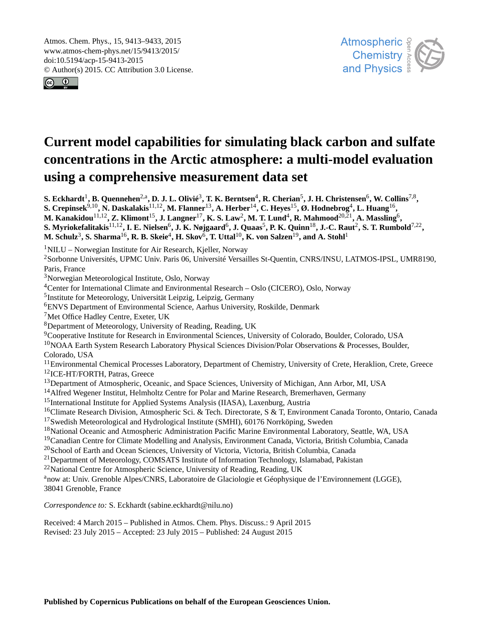<span id="page-0-1"></span>Atmos. Chem. Phys., 15, 9413–9433, 2015 www.atmos-chem-phys.net/15/9413/2015/ doi:10.5194/acp-15-9413-2015 © Author(s) 2015. CC Attribution 3.0 License.





# **Current model capabilities for simulating black carbon and sulfate concentrations in the Arctic atmosphere: a multi-model evaluation using a comprehensive measurement data set**

 $S$ . Eckhardt<sup>[1](#page-0-0)</sup>, B. Quennehen<sup>[2,a](#page-0-0)</sup>, D. J. L. Olivié<sup>[3](#page-0-0)</sup>, T. K. Berntsen<sup>[4](#page-0-0)</sup>, R. Cherian<sup>[5](#page-0-0)</sup>, J. H. Christensen<sup>[6](#page-0-0)</sup>, W. Collins<sup>[7,8](#page-0-0)</sup>,  ${\bf S.~Crepinsek}^{9,10}, {\bf N.~Daskalakis}^{11,12}, {\bf M.~Flanner}^{13}, {\bf A.~Herber}^{14}, {\bf C.~Heyes}^{15}, {\bf Ø.~Hodnebrog}^4, {\bf L.~Huang}^{16},$  ${\bf S.~Crepinsek}^{9,10}, {\bf N.~Daskalakis}^{11,12}, {\bf M.~Flanner}^{13}, {\bf A.~Herber}^{14}, {\bf C.~Heyes}^{15}, {\bf Ø.~Hodnebrog}^4, {\bf L.~Huang}^{16},$  ${\bf S.~Crepinsek}^{9,10}, {\bf N.~Daskalakis}^{11,12}, {\bf M.~Flanner}^{13}, {\bf A.~Herber}^{14}, {\bf C.~Heyes}^{15}, {\bf Ø.~Hodnebrog}^4, {\bf L.~Huang}^{16},$  ${\bf S.~Crepinsek}^{9,10}, {\bf N.~Daskalakis}^{11,12}, {\bf M.~Flanner}^{13}, {\bf A.~Herber}^{14}, {\bf C.~Heyes}^{15}, {\bf Ø.~Hodnebrog}^4, {\bf L.~Huang}^{16},$  ${\bf S.~Crepinsek}^{9,10}, {\bf N.~Daskalakis}^{11,12}, {\bf M.~Flanner}^{13}, {\bf A.~Herber}^{14}, {\bf C.~Heyes}^{15}, {\bf Ø.~Hodnebrog}^4, {\bf L.~Huang}^{16},$  ${\bf S.~Crepinsek}^{9,10}, {\bf N.~Daskalakis}^{11,12}, {\bf M.~Flanner}^{13}, {\bf A.~Herber}^{14}, {\bf C.~Heyes}^{15}, {\bf Ø.~Hodnebrog}^4, {\bf L.~Huang}^{16},$  ${\bf S.~Crepinsek}^{9,10}, {\bf N.~Daskalakis}^{11,12}, {\bf M.~Flanner}^{13}, {\bf A.~Herber}^{14}, {\bf C.~Heyes}^{15}, {\bf Ø.~Hodnebrog}^4, {\bf L.~Huang}^{16},$  ${\bf S.~Crepinsek}^{9,10}, {\bf N.~Daskalakis}^{11,12}, {\bf M.~Flanner}^{13}, {\bf A.~Herber}^{14}, {\bf C.~Heyes}^{15}, {\bf Ø.~Hodnebrog}^4, {\bf L.~Huang}^{16},$  ${\bf S.~Crepinsek}^{9,10}, {\bf N.~Daskalakis}^{11,12}, {\bf M.~Flanner}^{13}, {\bf A.~Herber}^{14}, {\bf C.~Heyes}^{15}, {\bf Ø.~Hodnebrog}^4, {\bf L.~Huang}^{16},$  ${\bf S.~Crepinsek}^{9,10}, {\bf N.~Daskalakis}^{11,12}, {\bf M.~Flanner}^{13}, {\bf A.~Herber}^{14}, {\bf C.~Heyes}^{15}, {\bf Ø.~Hodnebrog}^4, {\bf L.~Huang}^{16},$  ${\bf S.~Crepinsek}^{9,10}, {\bf N.~Daskalakis}^{11,12}, {\bf M.~Flanner}^{13}, {\bf A.~Herber}^{14}, {\bf C.~Heyes}^{15}, {\bf Ø.~Hodnebrog}^4, {\bf L.~Huang}^{16},$  ${\bf S.~Crepinsek}^{9,10}, {\bf N.~Daskalakis}^{11,12}, {\bf M.~Flanner}^{13}, {\bf A.~Herber}^{14}, {\bf C.~Heyes}^{15}, {\bf Ø.~Hodnebrog}^4, {\bf L.~Huang}^{16},$  ${\bf S.~Crepinsek}^{9,10}, {\bf N.~Daskalakis}^{11,12}, {\bf M.~Flanner}^{13}, {\bf A.~Herber}^{14}, {\bf C.~Heyes}^{15}, {\bf Ø.~Hodnebrog}^4, {\bf L.~Huang}^{16},$  ${\bf S.~Crepinsek}^{9,10}, {\bf N.~Daskalakis}^{11,12}, {\bf M.~Flanner}^{13}, {\bf A.~Herber}^{14}, {\bf C.~Heyes}^{15}, {\bf Ø.~Hodnebrog}^4, {\bf L.~Huang}^{16},$  ${\bf S.~Crepinsek}^{9,10}, {\bf N.~Daskalakis}^{11,12}, {\bf M.~Flanner}^{13}, {\bf A.~Herber}^{14}, {\bf C.~Heyes}^{15}, {\bf Ø.~Hodnebrog}^4, {\bf L.~Huang}^{16},$ **M. Kanakidou**[11,12](#page-0-0)**, Z. Klimont**[15](#page-0-0)**, J. Langner**[17](#page-0-0)**, K. S. Law**[2](#page-0-0) **, M. T. Lund**[4](#page-0-0) **, R. Mahmood**[20,21](#page-0-0)**, A. Massling**[6](#page-0-0) **,**  $\bf S$ . Myriokefalitakis $^{11,12}$  $^{11,12}$  $^{11,12}$ , I. E. Nielsen $^6$  $^6$ , J. K. Nøjgaard $^6$ , J. Quaas $^5$  $^5$ , P. K. Quinn $^{18}$  $^{18}$  $^{18}$ , J.-C. Raut $^2$  $^2$ , S. T. Rumbold $^{7,22}$  $^{7,22}$  $^{7,22}$ ,  ${\bf M.~Schulz^3, S.~Sharma^{16}, R.~B.~Skeie^4, H.~Skov^6, T.~Uttal^{10}, K.~von~Salzen^{19}, and A.~Stohl^{16}}$  ${\bf M.~Schulz^3, S.~Sharma^{16}, R.~B.~Skeie^4, H.~Skov^6, T.~Uttal^{10}, K.~von~Salzen^{19}, and A.~Stohl^{16}}$  ${\bf M.~Schulz^3, S.~Sharma^{16}, R.~B.~Skeie^4, H.~Skov^6, T.~Uttal^{10}, K.~von~Salzen^{19}, and A.~Stohl^{16}}$  ${\bf M.~Schulz^3, S.~Sharma^{16}, R.~B.~Skeie^4, H.~Skov^6, T.~Uttal^{10}, K.~von~Salzen^{19}, and A.~Stohl^{16}}$  ${\bf M.~Schulz^3, S.~Sharma^{16}, R.~B.~Skeie^4, H.~Skov^6, T.~Uttal^{10}, K.~von~Salzen^{19}, and A.~Stohl^{16}}$  ${\bf M.~Schulz^3, S.~Sharma^{16}, R.~B.~Skeie^4, H.~Skov^6, T.~Uttal^{10}, K.~von~Salzen^{19}, and A.~Stohl^{16}}$  ${\bf M.~Schulz^3, S.~Sharma^{16}, R.~B.~Skeie^4, H.~Skov^6, T.~Uttal^{10}, K.~von~Salzen^{19}, and A.~Stohl^{16}}$  ${\bf M.~Schulz^3, S.~Sharma^{16}, R.~B.~Skeie^4, H.~Skov^6, T.~Uttal^{10}, K.~von~Salzen^{19}, and A.~Stohl^{16}}$  ${\bf M.~Schulz^3, S.~Sharma^{16}, R.~B.~Skeie^4, H.~Skov^6, T.~Uttal^{10}, K.~von~Salzen^{19}, and A.~Stohl^{16}}$  ${\bf M.~Schulz^3, S.~Sharma^{16}, R.~B.~Skeie^4, H.~Skov^6, T.~Uttal^{10}, K.~von~Salzen^{19}, and A.~Stohl^{16}}$  ${\bf M.~Schulz^3, S.~Sharma^{16}, R.~B.~Skeie^4, H.~Skov^6, T.~Uttal^{10}, K.~von~Salzen^{19}, and A.~Stohl^{16}}$  ${\bf M.~Schulz^3, S.~Sharma^{16}, R.~B.~Skeie^4, H.~Skov^6, T.~Uttal^{10}, K.~von~Salzen^{19}, and A.~Stohl^{16}}$  ${\bf M.~Schulz^3, S.~Sharma^{16}, R.~B.~Skeie^4, H.~Skov^6, T.~Uttal^{10}, K.~von~Salzen^{19}, and A.~Stohl^{16}}$  ${\bf M.~Schulz^3, S.~Sharma^{16}, R.~B.~Skeie^4, H.~Skov^6, T.~Uttal^{10}, K.~von~Salzen^{19}, and A.~Stohl^{16}}$  ${\bf M.~Schulz^3, S.~Sharma^{16}, R.~B.~Skeie^4, H.~Skov^6, T.~Uttal^{10}, K.~von~Salzen^{19}, and A.~Stohl^{16}}$  $1$ NILU – Norwegian Institute for Air Research, Kjeller, Norway <sup>2</sup>Sorbonne Universités, UPMC Univ. Paris 06, Université Versailles St-Quentin, CNRS/INSU, LATMOS-IPSL, UMR8190, Paris, France <sup>3</sup>Norwegian Meteorological Institute, Oslo, Norway <sup>4</sup>Center for International Climate and Environmental Research – Oslo (CICERO), Oslo, Norway <sup>5</sup>Institute for Meteorology, Universität Leipzig, Leipzig, Germany <sup>6</sup>ENVS Department of Environmental Science, Aarhus University, Roskilde, Denmark <sup>7</sup>Met Office Hadley Centre, Exeter, UK <sup>8</sup>Department of Meteorology, University of Reading, Reading, UK <sup>9</sup>Cooperative Institute for Research in Environmental Sciences, University of Colorado, Boulder, Colorado, USA  $10NOAA$  Earth System Research Laboratory Physical Sciences Division/Polar Observations & Processes, Boulder, Colorado, USA <sup>11</sup>Environmental Chemical Processes Laboratory, Department of Chemistry, University of Crete, Heraklion, Crete, Greece <sup>12</sup>ICE-HT/FORTH, Patras, Greece <sup>13</sup>Department of Atmospheric, Oceanic, and Space Sciences, University of Michigan, Ann Arbor, MI, USA <sup>14</sup> Alfred Wegener Institut, Helmholtz Centre for Polar and Marine Research, Bremerhaven, Germany <sup>15</sup>International Institute for Applied Systems Analysis (IIASA), Laxenburg, Austria <sup>16</sup>Climate Research Division, Atmospheric Sci. & Tech. Directorate, S & T, Environment Canada Toronto, Ontario, Canada <sup>17</sup>Swedish Meteorological and Hydrological Institute (SMHI), 60176 Norrköping, Sweden <sup>18</sup>National Oceanic and Atmospheric Administration Pacific Marine Environmental Laboratory, Seattle, WA, USA <sup>19</sup>Canadian Centre for Climate Modelling and Analysis, Environment Canada, Victoria, British Columbia, Canada <sup>20</sup>School of Earth and Ocean Sciences, University of Victoria, Victoria, British Columbia, Canada <sup>21</sup> Department of Meteorology, COMSATS Institute of Information Technology, Islamabad, Pakistan  $22$ National Centre for Atmospheric Science, University of Reading, Reading, UK <sup>a</sup>now at: Univ. Grenoble Alpes/CNRS, Laboratoire de Glaciologie et Géophysique de l'Environnement (LGGE), 38041 Grenoble, France

*Correspondence to:* S. Eckhardt (sabine.eckhardt@nilu.no)

<span id="page-0-0"></span>Received: 4 March 2015 – Published in Atmos. Chem. Phys. Discuss.: 9 April 2015 Revised: 23 July 2015 – Accepted: 23 July 2015 – Published: 24 August 2015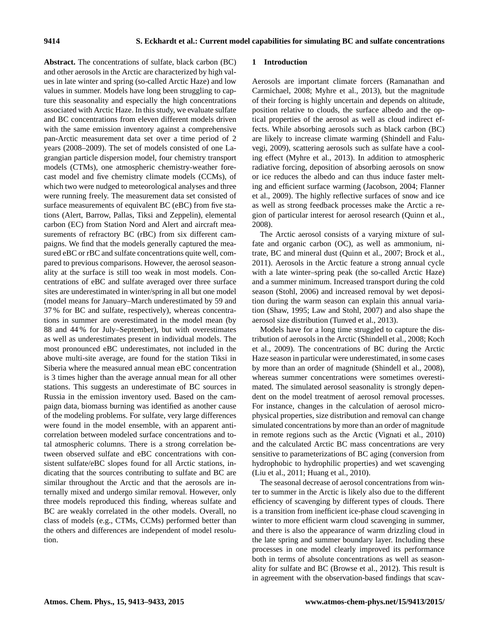**Abstract.** The concentrations of sulfate, black carbon (BC) and other aerosols in the Arctic are characterized by high values in late winter and spring (so-called Arctic Haze) and low values in summer. Models have long been struggling to capture this seasonality and especially the high concentrations associated with Arctic Haze. In this study, we evaluate sulfate and BC concentrations from eleven different models driven with the same emission inventory against a comprehensive pan-Arctic measurement data set over a time period of 2 years (2008–2009). The set of models consisted of one Lagrangian particle dispersion model, four chemistry transport models (CTMs), one atmospheric chemistry-weather forecast model and five chemistry climate models (CCMs), of which two were nudged to meteorological analyses and three were running freely. The measurement data set consisted of surface measurements of equivalent BC (eBC) from five stations (Alert, Barrow, Pallas, Tiksi and Zeppelin), elemental carbon (EC) from Station Nord and Alert and aircraft measurements of refractory BC (rBC) from six different campaigns. We find that the models generally captured the measured eBC or rBC and sulfate concentrations quite well, compared to previous comparisons. However, the aerosol seasonality at the surface is still too weak in most models. Concentrations of eBC and sulfate averaged over three surface sites are underestimated in winter/spring in all but one model (model means for January–March underestimated by 59 and 37 % for BC and sulfate, respectively), whereas concentrations in summer are overestimated in the model mean (by 88 and 44 % for July–September), but with overestimates as well as underestimates present in individual models. The most pronounced eBC underestimates, not included in the above multi-site average, are found for the station Tiksi in Siberia where the measured annual mean eBC concentration is 3 times higher than the average annual mean for all other stations. This suggests an underestimate of BC sources in Russia in the emission inventory used. Based on the campaign data, biomass burning was identified as another cause of the modeling problems. For sulfate, very large differences were found in the model ensemble, with an apparent anticorrelation between modeled surface concentrations and total atmospheric columns. There is a strong correlation between observed sulfate and eBC concentrations with consistent sulfate/eBC slopes found for all Arctic stations, indicating that the sources contributing to sulfate and BC are similar throughout the Arctic and that the aerosols are internally mixed and undergo similar removal. However, only three models reproduced this finding, whereas sulfate and BC are weakly correlated in the other models. Overall, no class of models (e.g., CTMs, CCMs) performed better than the others and differences are independent of model resolution.

### **1 Introduction**

Aerosols are important climate forcers (Ramanathan and Carmichael, 2008; Myhre et al., 2013), but the magnitude of their forcing is highly uncertain and depends on altitude, position relative to clouds, the surface albedo and the optical properties of the aerosol as well as cloud indirect effects. While absorbing aerosols such as black carbon (BC) are likely to increase climate warming (Shindell and Faluvegi, 2009), scattering aerosols such as sulfate have a cooling effect (Myhre et al., 2013). In addition to atmospheric radiative forcing, deposition of absorbing aerosols on snow or ice reduces the albedo and can thus induce faster melting and efficient surface warming (Jacobson, 2004; Flanner et al., 2009). The highly reflective surfaces of snow and ice as well as strong feedback processes make the Arctic a region of particular interest for aerosol research (Quinn et al., 2008).

The Arctic aerosol consists of a varying mixture of sulfate and organic carbon (OC), as well as ammonium, nitrate, BC and mineral dust (Quinn et al., 2007; Brock et al., 2011). Aerosols in the Arctic feature a strong annual cycle with a late winter–spring peak (the so-called Arctic Haze) and a summer minimum. Increased transport during the cold season (Stohl, 2006) and increased removal by wet deposition during the warm season can explain this annual variation (Shaw, 1995; Law and Stohl, 2007) and also shape the aerosol size distribution (Tunved et al., 2013).

Models have for a long time struggled to capture the distribution of aerosols in the Arctic (Shindell et al., 2008; Koch et al., 2009). The concentrations of BC during the Arctic Haze season in particular were underestimated, in some cases by more than an order of magnitude (Shindell et al., 2008), whereas summer concentrations were sometimes overestimated. The simulated aerosol seasonality is strongly dependent on the model treatment of aerosol removal processes. For instance, changes in the calculation of aerosol microphysical properties, size distribution and removal can change simulated concentrations by more than an order of magnitude in remote regions such as the Arctic (Vignati et al., 2010) and the calculated Arctic BC mass concentrations are very sensitive to parameterizations of BC aging (conversion from hydrophobic to hydrophilic properties) and wet scavenging (Liu et al., 2011; Huang et al., 2010).

The seasonal decrease of aerosol concentrations from winter to summer in the Arctic is likely also due to the different efficiency of scavenging by different types of clouds. There is a transition from inefficient ice-phase cloud scavenging in winter to more efficient warm cloud scavenging in summer, and there is also the appearance of warm drizzling cloud in the late spring and summer boundary layer. Including these processes in one model clearly improved its performance both in terms of absolute concentrations as well as seasonality for sulfate and BC (Browse et al., 2012). This result is in agreement with the observation-based findings that scav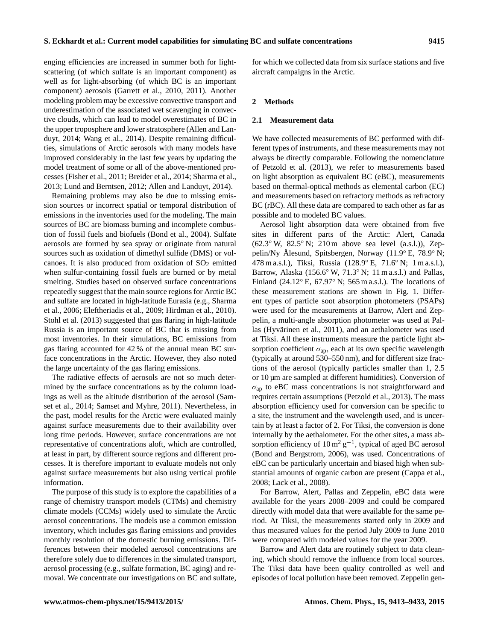enging efficiencies are increased in summer both for lightscattering (of which sulfate is an important component) as well as for light-absorbing (of which BC is an important component) aerosols (Garrett et al., 2010, 2011). Another modeling problem may be excessive convective transport and underestimation of the associated wet scavenging in convective clouds, which can lead to model overestimates of BC in the upper troposphere and lower stratosphere (Allen and Landuyt, 2014; Wang et al., 2014). Despite remaining difficulties, simulations of Arctic aerosols with many models have improved considerably in the last few years by updating the model treatment of some or all of the above-mentioned processes (Fisher et al., 2011; Breider et al., 2014; Sharma et al., 2013; Lund and Berntsen, 2012; Allen and Landuyt, 2014).

Remaining problems may also be due to missing emission sources or incorrect spatial or temporal distribution of emissions in the inventories used for the modeling. The main sources of BC are biomass burning and incomplete combustion of fossil fuels and biofuels (Bond et al., 2004). Sulfate aerosols are formed by sea spray or originate from natural sources such as oxidation of dimethyl sulfide (DMS) or volcanoes. It is also produced from oxidation of  $SO_2$  emitted when sulfur-containing fossil fuels are burned or by metal smelting. Studies based on observed surface concentrations repeatedly suggest that the main source regions for Arctic BC and sulfate are located in high-latitude Eurasia (e.g., Sharma et al., 2006; Eleftheriadis et al., 2009; Hirdman et al., 2010). Stohl et al. (2013) suggested that gas flaring in high-latitude Russia is an important source of BC that is missing from most inventories. In their simulations, BC emissions from gas flaring accounted for 42 % of the annual mean BC surface concentrations in the Arctic. However, they also noted the large uncertainty of the gas flaring emissions.

The radiative effects of aerosols are not so much determined by the surface concentrations as by the column loadings as well as the altitude distribution of the aerosol (Samset et al., 2014; Samset and Myhre, 2011). Nevertheless, in the past, model results for the Arctic were evaluated mainly against surface measurements due to their availability over long time periods. However, surface concentrations are not representative of concentrations aloft, which are controlled, at least in part, by different source regions and different processes. It is therefore important to evaluate models not only against surface measurements but also using vertical profile information.

The purpose of this study is to explore the capabilities of a range of chemistry transport models (CTMs) and chemistry climate models (CCMs) widely used to simulate the Arctic aerosol concentrations. The models use a common emission inventory, which includes gas flaring emissions and provides monthly resolution of the domestic burning emissions. Differences between their modeled aerosol concentrations are therefore solely due to differences in the simulated transport, aerosol processing (e.g., sulfate formation, BC aging) and removal. We concentrate our investigations on BC and sulfate, for which we collected data from six surface stations and five aircraft campaigns in the Arctic.

# **2 Methods**

### **2.1 Measurement data**

We have collected measurements of BC performed with different types of instruments, and these measurements may not always be directly comparable. Following the nomenclature of Petzold et al. (2013), we refer to measurements based on light absorption as equivalent BC (eBC), measurements based on thermal-optical methods as elemental carbon (EC) and measurements based on refractory methods as refractory BC (rBC). All these data are compared to each other as far as possible and to modeled BC values.

Aerosol light absorption data were obtained from five sites in different parts of the Arctic: Alert, Canada (62.3◦ W, 82.5◦ N; 210 m above sea level (a.s.l.)), Zeppelin/Ny Ålesund, Spitsbergen, Norway (11.9◦ E, 78.9◦ N; 478 m a.s.l.), Tiksi, Russia (128.9◦ E, 71.6◦ N; 1 m a.s.l.), Barrow, Alaska (156.6° W, 71.3° N; 11 m a.s.l.) and Pallas, Finland (24.12 $\degree$  E, 67.97 $\degree$  N; 565 m a.s.l.). The locations of these measurement stations are shown in Fig. 1. Different types of particle soot absorption photometers (PSAPs) were used for the measurements at Barrow, Alert and Zeppelin, a multi-angle absorption photometer was used at Pallas (Hyvärinen et al., 2011), and an aethalometer was used at Tiksi. All these instruments measure the particle light absorption coefficient  $\sigma_{\text{ap}}$ , each at its own specific wavelength (typically at around 530–550 nm), and for different size fractions of the aerosol (typically particles smaller than 1, 2.5 or 10 µm are sampled at different humidities). Conversion of  $\sigma_{ap}$  to eBC mass concentrations is not straightforward and requires certain assumptions (Petzold et al., 2013). The mass absorption efficiency used for conversion can be specific to a site, the instrument and the wavelength used, and is uncertain by at least a factor of 2. For Tiksi, the conversion is done internally by the aethalometer. For the other sites, a mass absorption efficiency of  $10 \text{ m}^2 \text{ g}^{-1}$ , typical of aged BC aerosol (Bond and Bergstrom, 2006), was used. Concentrations of eBC can be particularly uncertain and biased high when substantial amounts of organic carbon are present (Cappa et al., 2008; Lack et al., 2008).

For Barrow, Alert, Pallas and Zeppelin, eBC data were available for the years 2008–2009 and could be compared directly with model data that were available for the same period. At Tiksi, the measurements started only in 2009 and thus measured values for the period July 2009 to June 2010 were compared with modeled values for the year 2009.

Barrow and Alert data are routinely subject to data cleaning, which should remove the influence from local sources. The Tiksi data have been quality controlled as well and episodes of local pollution have been removed. Zeppelin gen-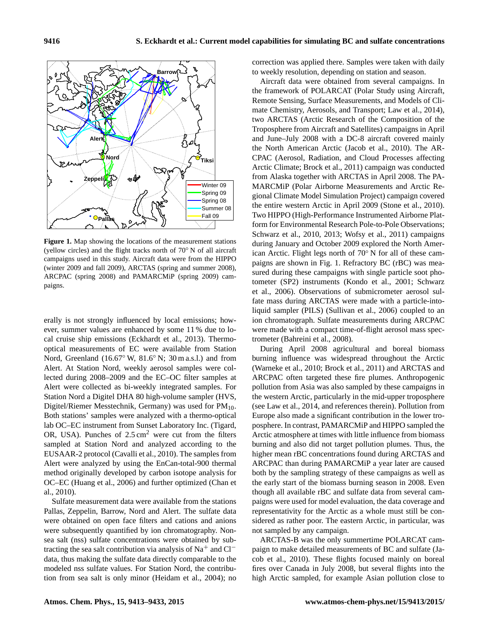

**Figure 1.** Map showing the locations of the measurement stations (yellow circles) and the flight tracks north of 70◦ N of all aircraft campaigns used in this study. Aircraft data were from the HIPPO (winter 2009 and fall 2009), ARCTAS (spring and summer 2008), ARCPAC (spring 2008) and PAMARCMiP (spring 2009) campaigns.

erally is not strongly influenced by local emissions; however, summer values are enhanced by some 11 % due to local cruise ship emissions (Eckhardt et al., 2013). Thermooptical measurements of EC were available from Station Nord, Greenland (16.67◦ W, 81.6◦ N; 30 m a.s.l.) and from Alert. At Station Nord, weekly aerosol samples were collected during 2008–2009 and the EC–OC filter samples at Alert were collected as bi-weekly integrated samples. For Station Nord a Digitel DHA 80 high-volume sampler (HVS, Digitel/Riemer Messtechnik, Germany) was used for  $PM_{10}$ . Both stations' samples were analyzed with a thermo-optical lab OC–EC instrument from Sunset Laboratory Inc. (Tigard, OR, USA). Punches of  $2.5 \text{ cm}^2$  were cut from the filters sampled at Station Nord and analyzed according to the EUSAAR-2 protocol (Cavalli et al., 2010). The samples from Alert were analyzed by using the EnCan-total-900 thermal method originally developed by carbon isotope analysis for OC–EC (Huang et al., 2006) and further optimized (Chan et al., 2010).

Sulfate measurement data were available from the stations Pallas, Zeppelin, Barrow, Nord and Alert. The sulfate data were obtained on open face filters and cations and anions were subsequently quantified by ion chromatography. Nonsea salt (nss) sulfate concentrations were obtained by subtracting the sea salt contribution via analysis of Na<sup>+</sup> and  $Cl^$ data, thus making the sulfate data directly comparable to the modeled nss sulfate values. For Station Nord, the contribution from sea salt is only minor (Heidam et al., 2004); no correction was applied there. Samples were taken with daily to weekly resolution, depending on station and season.

Aircraft data were obtained from several campaigns. In the framework of POLARCAT (Polar Study using Aircraft, Remote Sensing, Surface Measurements, and Models of Climate Chemistry, Aerosols, and Transport; Law et al., 2014), two ARCTAS (Arctic Research of the Composition of the Troposphere from Aircraft and Satellites) campaigns in April and June–July 2008 with a DC-8 aircraft covered mainly the North American Arctic (Jacob et al., 2010). The AR-CPAC (Aerosol, Radiation, and Cloud Processes affecting Arctic Climate; Brock et al., 2011) campaign was conducted from Alaska together with ARCTAS in April 2008. The PA-MARCMiP (Polar Airborne Measurements and Arctic Regional Climate Model Simulation Project) campaign covered the entire western Arctic in April 2009 (Stone et al., 2010). Two HIPPO (High-Performance Instrumented Airborne Platform for Environmental Research Pole-to-Pole Observations; Schwarz et al., 2010, 2013; Wofsy et al., 2011) campaigns during January and October 2009 explored the North American Arctic. Flight legs north of 70◦ N for all of these campaigns are shown in Fig. 1. Refractory BC (rBC) was measured during these campaigns with single particle soot photometer (SP2) instruments (Kondo et al., 2001; Schwarz et al., 2006). Observations of submicrometer aerosol sulfate mass during ARCTAS were made with a particle-intoliquid sampler (PILS) (Sullivan et al., 2006) coupled to an ion chromatograph. Sulfate measurements during ARCPAC were made with a compact time-of-flight aerosol mass spectrometer (Bahreini et al., 2008).

During April 2008 agricultural and boreal biomass burning influence was widespread throughout the Arctic (Warneke et al., 2010; Brock et al., 2011) and ARCTAS and ARCPAC often targeted these fire plumes. Anthropogenic pollution from Asia was also sampled by these campaigns in the western Arctic, particularly in the mid-upper troposphere (see Law et al., 2014, and references therein). Pollution from Europe also made a significant contribution in the lower troposphere. In contrast, PAMARCMiP and HIPPO sampled the Arctic atmosphere at times with little influence from biomass burning and also did not target pollution plumes. Thus, the higher mean rBC concentrations found during ARCTAS and ARCPAC than during PAMARCMiP a year later are caused both by the sampling strategy of these campaigns as well as the early start of the biomass burning season in 2008. Even though all available rBC and sulfate data from several campaigns were used for model evaluation, the data coverage and representativity for the Arctic as a whole must still be considered as rather poor. The eastern Arctic, in particular, was not sampled by any campaign.

ARCTAS-B was the only summertime POLARCAT campaign to make detailed measurements of BC and sulfate (Jacob et al., 2010). These flights focused mainly on boreal fires over Canada in July 2008, but several flights into the high Arctic sampled, for example Asian pollution close to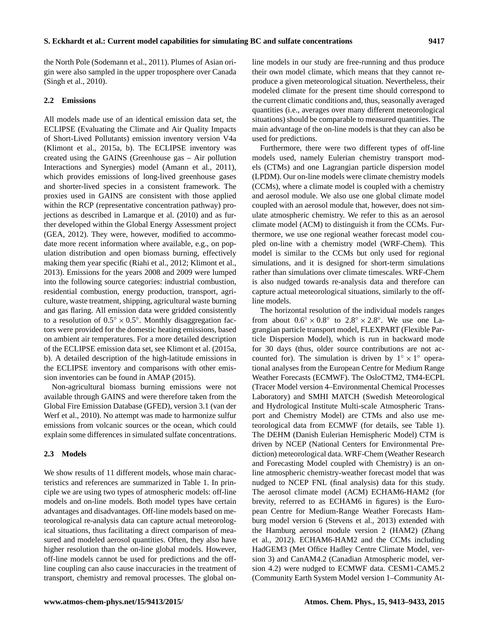the North Pole (Sodemann et al., 2011). Plumes of Asian origin were also sampled in the upper troposphere over Canada (Singh et al., 2010).

### **2.2 Emissions**

All models made use of an identical emission data set, the ECLIPSE (Evaluating the Climate and Air Quality Impacts of Short-Lived Pollutants) emission inventory version V4a (Klimont et al., 2015a, b). The ECLIPSE inventory was created using the GAINS (Greenhouse gas – Air pollution Interactions and Synergies) model (Amann et al., 2011), which provides emissions of long-lived greenhouse gases and shorter-lived species in a consistent framework. The proxies used in GAINS are consistent with those applied within the RCP (representative concentration pathway) projections as described in Lamarque et al. (2010) and as further developed within the Global Energy Assessment project (GEA, 2012). They were, however, modified to accommodate more recent information where available, e.g., on population distribution and open biomass burning, effectively making them year specific (Riahi et al., 2012; Klimont et al., 2013). Emissions for the years 2008 and 2009 were lumped into the following source categories: industrial combustion, residential combustion, energy production, transport, agriculture, waste treatment, shipping, agricultural waste burning and gas flaring. All emission data were gridded consistently to a resolution of  $0.5^\circ \times 0.5^\circ$ . Monthly disaggregation factors were provided for the domestic heating emissions, based on ambient air temperatures. For a more detailed description of the ECLIPSE emission data set, see Klimont et al. (2015a, b). A detailed description of the high-latitude emissions in the ECLIPSE inventory and comparisons with other emission inventories can be found in AMAP (2015).

Non-agricultural biomass burning emissions were not available through GAINS and were therefore taken from the Global Fire Emission Database (GFED), version 3.1 (van der Werf et al., 2010). No attempt was made to harmonize sulfur emissions from volcanic sources or the ocean, which could explain some differences in simulated sulfate concentrations.

# **2.3 Models**

We show results of 11 different models, whose main characteristics and references are summarized in Table 1. In principle we are using two types of atmospheric models: off-line models and on-line models. Both model types have certain advantages and disadvantages. Off-line models based on meteorological re-analysis data can capture actual meteorological situations, thus facilitating a direct comparison of measured and modeled aerosol quantities. Often, they also have higher resolution than the on-line global models. However, off-line models cannot be used for predictions and the offline coupling can also cause inaccuracies in the treatment of transport, chemistry and removal processes. The global online models in our study are free-running and thus produce their own model climate, which means that they cannot reproduce a given meteorological situation. Nevertheless, their modeled climate for the present time should correspond to the current climatic conditions and, thus, seasonally averaged quantities (i.e., averages over many different meteorological situations) should be comparable to measured quantities. The main advantage of the on-line models is that they can also be used for predictions.

Furthermore, there were two different types of off-line models used, namely Eulerian chemistry transport models (CTMs) and one Lagrangian particle dispersion model (LPDM). Our on-line models were climate chemistry models (CCMs), where a climate model is coupled with a chemistry and aerosol module. We also use one global climate model coupled with an aerosol module that, however, does not simulate atmospheric chemistry. We refer to this as an aerosol climate model (ACM) to distinguish it from the CCMs. Furthermore, we use one regional weather forecast model coupled on-line with a chemistry model (WRF-Chem). This model is similar to the CCMs but only used for regional simulations, and it is designed for short-term simulations rather than simulations over climate timescales. WRF-Chem is also nudged towards re-analysis data and therefore can capture actual meteorological situations, similarly to the offline models.

The horizontal resolution of the individual models ranges from about  $0.6° \times 0.8°$  to  $2.8° \times 2.8°$ . We use one Lagrangian particle transport model, FLEXPART (Flexible Particle Dispersion Model), which is run in backward mode for 30 days (thus, older source contributions are not accounted for). The simulation is driven by  $1^\circ \times 1^\circ$  operational analyses from the European Centre for Medium Range Weather Forecasts (ECMWF). The OsloCTM2, TM4-ECPL (Tracer Model version 4–Environmental Chemical Processes Laboratory) and SMHI MATCH (Swedish Meteorological and Hydrological Institute Multi-scale Atmospheric Transport and Chemistry Model) are CTMs and also use meteorological data from ECMWF (for details, see Table 1). The DEHM (Danish Eulerian Hemispheric Model) CTM is driven by NCEP (National Centers for Environmental Prediction) meteorological data. WRF-Chem (Weather Research and Forecasting Model coupled with Chemistry) is an online atmospheric chemistry-weather forecast model that was nudged to NCEP FNL (final analysis) data for this study. The aerosol climate model (ACM) ECHAM6-HAM2 (for brevity, referred to as ECHAM6 in figures) is the European Centre for Medium-Range Weather Forecasts Hamburg model version 6 (Stevens et al., 2013) extended with the Hamburg aerosol module version 2 (HAM2) (Zhang et al., 2012). ECHAM6-HAM2 and the CCMs including HadGEM3 (Met Office Hadley Centre Climate Model, version 3) and CanAM4.2 (Canadian Atmospheric model, version 4.2) were nudged to ECMWF data. CESM1-CAM5.2 (Community Earth System Model version 1–Community At-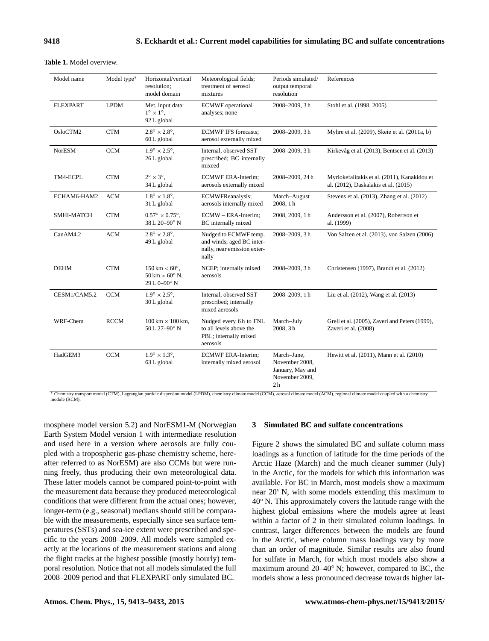| Model name        | Model type* | Horizontal/vertical<br>resolution:<br>model domain                                          | Meteorological fields;<br>treatment of aerosol<br>mixtures                                 | Periods simulated/<br>output temporal<br>resolution                                   | References                                                                           |  |
|-------------------|-------------|---------------------------------------------------------------------------------------------|--------------------------------------------------------------------------------------------|---------------------------------------------------------------------------------------|--------------------------------------------------------------------------------------|--|
| <b>FLEXPART</b>   | <b>LPDM</b> | Met. input data:<br>$1^{\circ} \times 1^{\circ}$<br>92 L global                             | <b>ECMWF</b> operational<br>analyses; none                                                 | 2008-2009, 3h                                                                         | Stohl et al. (1998, 2005)                                                            |  |
| OsloCTM2          | <b>CTM</b>  | $2.8^{\circ} \times 2.8^{\circ}$ ,<br>60 L global                                           | <b>ECMWF IFS forecasts;</b><br>aerosol externally mixed                                    | 2008-2009, 3h                                                                         | Myhre et al. (2009), Skeie et al. (2011a, b)                                         |  |
| <b>NorESM</b>     | <b>CCM</b>  | $1.9^{\circ} \times 2.5^{\circ}$ ,<br>26 L global                                           | Internal, observed SST<br>prescribed; BC internally<br>mixeed                              | 2008-2009, 3h                                                                         | Kirkevåg et al. (2013), Bentsen et al. (2013)                                        |  |
| TM4-ECPL          | <b>CTM</b>  | $2^{\circ} \times 3^{\circ}$ ,<br>34 L global                                               | <b>ECMWF ERA-Interim;</b><br>aerosols externally mixed                                     | 2008-2009, 24h                                                                        | Myriokefalitakis et al. (2011), Kanakidou et<br>al. (2012), Daskalakis et al. (2015) |  |
| ECHAM6-HAM2       | <b>ACM</b>  | $1.8^{\circ} \times 1.8^{\circ}$ ,<br>31 L global                                           | ECMWFReanalysis;<br>aerosols internally mixed                                              | March-August<br>2008, 1h                                                              | Stevens et al. (2013), Zhang et al. (2012)                                           |  |
| <b>SMHI-MATCH</b> | <b>CTM</b>  | $0.57^{\circ} \times 0.75^{\circ}$ ,<br>38 L 20-90° N                                       | ECMW - ERA-Interim;<br>BC internally mixed                                                 | 2008, 2009, 1h                                                                        | Andersson et al. (2007), Robertson et<br>al. (1999)                                  |  |
| CanAM4.2          | <b>ACM</b>  | $2.8^{\circ} \times 2.8^{\circ}$ ,<br>49 L global                                           | Nudged to ECMWF temp.<br>and winds; aged BC inter-<br>nally, near emission exter-<br>nally | 2008-2009, 3h                                                                         | Von Salzen et al. (2013), von Salzen (2006)                                          |  |
| <b>DEHM</b>       | <b>CTM</b>  | $150 \text{ km} < 60^{\circ}$ ,<br>$50 \text{ km} > 60^{\circ} \text{ N}$ ,<br>29 L 0-90° N | NCEP; internally mixed<br>aerosols                                                         | 2008-2009, 3h                                                                         | Christensen (1997), Brandt et al. (2012)                                             |  |
| CESM1/CAM5.2      | <b>CCM</b>  | $1.9^{\circ} \times 2.5^{\circ}$ ,<br>30 L global                                           | Internal, observed SST<br>prescribed; internally<br>mixed aerosols                         | 2008-2009, 1h                                                                         | Liu et al. (2012), Wang et al. (2013)                                                |  |
| WRF-Chem          | <b>RCCM</b> | $100 \text{ km} \times 100 \text{ km}$ ,<br>50 L 27-90° N                                   | Nudged every 6h to FNL<br>to all levels above the<br>PBL; internally mixed<br>aerosols     | March-July<br>2008, 3h                                                                | Grell et al. (2005), Zaveri and Peters (1999),<br>Zaveri et al. (2008)               |  |
| HadGEM3           | CCM         | $1.9^{\circ} \times 1.3^{\circ}$ ,<br>63 L global                                           | <b>ECMWF ERA-Interim;</b><br>internally mixed aerosol                                      | March-June,<br>November 2008,<br>January, May and<br>November 2009,<br>2 <sub>h</sub> | Hewitt et al. (2011), Mann et al. (2010)                                             |  |

**Table 1.** Model overview.

<sup>∗</sup> Chemistry transport model (CTM), Lagrangian particle dispersion model (LPDM), chemistry climate model (CCM), aerosol climate model (ACM), regional climate model coupled with a chemistry module (RCM).

mosphere model version 5.2) and NorESM1-M (Norwegian Earth System Model version 1 with intermediate resolution and used here in a version where aerosols are fully coupled with a tropospheric gas-phase chemistry scheme, hereafter referred to as NorESM) are also CCMs but were running freely, thus producing their own meteorological data. These latter models cannot be compared point-to-point with the measurement data because they produced meteorological conditions that were different from the actual ones; however, longer-term (e.g., seasonal) medians should still be comparable with the measurements, especially since sea surface temperatures (SSTs) and sea-ice extent were prescribed and specific to the years 2008–2009. All models were sampled exactly at the locations of the measurement stations and along the flight tracks at the highest possible (mostly hourly) temporal resolution. Notice that not all models simulated the full 2008–2009 period and that FLEXPART only simulated BC.

# **3 Simulated BC and sulfate concentrations**

Figure 2 shows the simulated BC and sulfate column mass loadings as a function of latitude for the time periods of the Arctic Haze (March) and the much cleaner summer (July) in the Arctic, for the models for which this information was available. For BC in March, most models show a maximum near 20◦ N, with some models extending this maximum to 40◦ N. This approximately covers the latitude range with the highest global emissions where the models agree at least within a factor of 2 in their simulated column loadings. In contrast, larger differences between the models are found in the Arctic, where column mass loadings vary by more than an order of magnitude. Similar results are also found for sulfate in March, for which most models also show a maximum around 20–40◦ N; however, compared to BC, the models show a less pronounced decrease towards higher lat-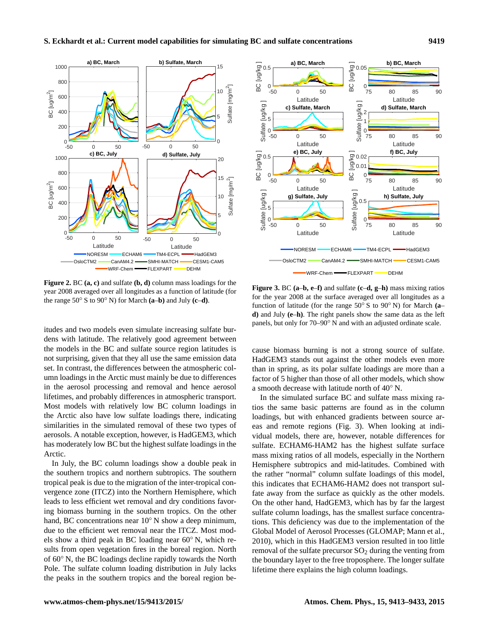

**Figure 2.** BC **(a, c)** and sulfate **(b, d)** column mass loadings for the year 2008 averaged over all longitudes as a function of latitude (for the range 50◦ S to 90◦ N) for March **(a**–**b)** and July **(c**–**d)**.

itudes and two models even simulate increasing sulfate burdens with latitude. The relatively good agreement between the models in the BC and sulfate source region latitudes is not surprising, given that they all use the same emission data set. In contrast, the differences between the atmospheric column loadings in the Arctic must mainly be due to differences in the aerosol processing and removal and hence aerosol lifetimes, and probably differences in atmospheric transport. Most models with relatively low BC column loadings in the Arctic also have low sulfate loadings there, indicating similarities in the simulated removal of these two types of aerosols. A notable exception, however, is HadGEM3, which has moderately low BC but the highest sulfate loadings in the Arctic.

In July, the BC column loadings show a double peak in the southern tropics and northern subtropics. The southern tropical peak is due to the migration of the inter-tropical convergence zone (ITCZ) into the Northern Hemisphere, which leads to less efficient wet removal and dry conditions favoring biomass burning in the southern tropics. On the other hand, BC concentrations near 10<sup>○</sup> N show a deep minimum, due to the efficient wet removal near the ITCZ. Most models show a third peak in BC loading near 60◦ N, which results from open vegetation fires in the boreal region. North of 60◦ N, the BC loadings decline rapidly towards the North Pole. The sulfate column loading distribution in July lacks the peaks in the southern tropics and the boreal region be-



**Figure 3.** BC **(a**–**b, e**–**f)** and sulfate **(c**–**d, g**–**h)** mass mixing ratios for the year 2008 at the surface averaged over all longitudes as a function of latitude (for the range 50◦ S to 90◦ N) for March **(a**– **d)** and July **(e**–**h)**. The right panels show the same data as the left panels, but only for 70–90◦ N and with an adjusted ordinate scale.

cause biomass burning is not a strong source of sulfate. HadGEM3 stands out against the other models even more than in spring, as its polar sulfate loadings are more than a factor of 5 higher than those of all other models, which show a smooth decrease with latitude north of 40◦ N.

In the simulated surface BC and sulfate mass mixing ratios the same basic patterns are found as in the column loadings, but with enhanced gradients between source areas and remote regions (Fig. 3). When looking at individual models, there are, however, notable differences for sulfate. ECHAM6-HAM2 has the highest sulfate surface mass mixing ratios of all models, especially in the Northern Hemisphere subtropics and mid-latitudes. Combined with the rather "normal" column sulfate loadings of this model, this indicates that ECHAM6-HAM2 does not transport sulfate away from the surface as quickly as the other models. On the other hand, HadGEM3, which has by far the largest sulfate column loadings, has the smallest surface concentrations. This deficiency was due to the implementation of the Global Model of Aerosol Processes (GLOMAP; Mann et al., 2010), which in this HadGEM3 version resulted in too little removal of the sulfate precursor  $SO<sub>2</sub>$  during the venting from the boundary layer to the free troposphere. The longer sulfate lifetime there explains the high column loadings.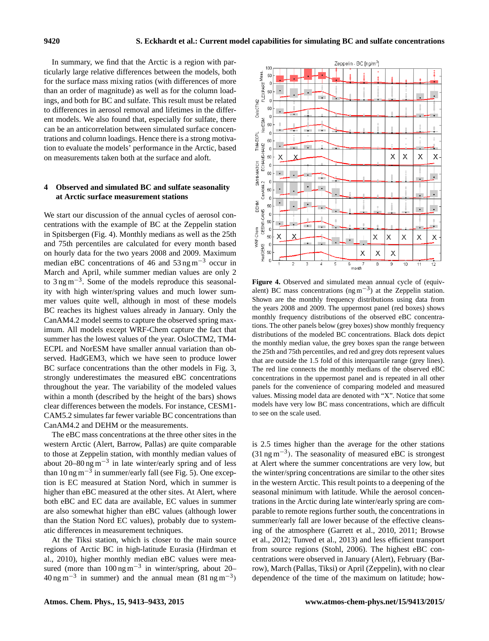In summary, we find that the Arctic is a region with particularly large relative differences between the models, both for the surface mass mixing ratios (with differences of more than an order of magnitude) as well as for the column loadings, and both for BC and sulfate. This result must be related to differences in aerosol removal and lifetimes in the different models. We also found that, especially for sulfate, there can be an anticorrelation between simulated surface concentrations and column loadings. Hence there is a strong motivation to evaluate the models' performance in the Arctic, based on measurements taken both at the surface and aloft.

# **4 Observed and simulated BC and sulfate seasonality at Arctic surface measurement stations**

We start our discussion of the annual cycles of aerosol concentrations with the example of BC at the Zeppelin station in Spitsbergen (Fig. 4). Monthly medians as well as the 25th and 75th percentiles are calculated for every month based on hourly data for the two years 2008 and 2009. Maximum median eBC concentrations of 46 and  $53 \text{ ng m}^{-3}$  occur in March and April, while summer median values are only 2 to  $3 \text{ ng m}^{-3}$ . Some of the models reproduce this seasonality with high winter/spring values and much lower summer values quite well, although in most of these models BC reaches its highest values already in January. Only the CanAM4.2 model seems to capture the observed spring maximum. All models except WRF-Chem capture the fact that summer has the lowest values of the year. OsloCTM2, TM4- ECPL and NorESM have smaller annual variation than observed. HadGEM3, which we have seen to produce lower BC surface concentrations than the other models in Fig. 3, strongly underestimates the measured eBC concentrations throughout the year. The variability of the modeled values within a month (described by the height of the bars) shows clear differences between the models. For instance, CESM1- CAM5.2 simulates far fewer variable BC concentrations than CanAM4.2 and DEHM or the measurements.

The eBC mass concentrations at the three other sites in the western Arctic (Alert, Barrow, Pallas) are quite comparable to those at Zeppelin station, with monthly median values of about 20–80 ng m−<sup>3</sup> in late winter/early spring and of less than 10 ng m<sup>-3</sup> in summer/early fall (see Fig. 5). One exception is EC measured at Station Nord, which in summer is higher than eBC measured at the other sites. At Alert, where both eBC and EC data are available, EC values in summer are also somewhat higher than eBC values (although lower than the Station Nord EC values), probably due to systematic differences in measurement techniques.

At the Tiksi station, which is closer to the main source regions of Arctic BC in high-latitude Eurasia (Hirdman et al., 2010), higher monthly median eBC values were measured (more than 100 ng m<sup>-3</sup> in winter/spring, about 20–  $40 \text{ ng m}^{-3}$  in summer) and the annual mean  $(81 \text{ ng m}^{-3})$ 



**Figure 4.** Observed and simulated mean annual cycle of (equivalent) BC mass concentrations (ng m−<sup>3</sup> ) at the Zeppelin station. Shown are the monthly frequency distributions using data from the years 2008 and 2009. The uppermost panel (red boxes) shows monthly frequency distributions of the observed eBC concentrations. The other panels below (grey boxes) show monthly frequency distributions of the modeled BC concentrations. Black dots depict the monthly median value, the grey boxes span the range between the 25th and 75th percentiles, and red and grey dots represent values that are outside the 1.5 fold of this interquartile range (grey lines). The red line connects the monthly medians of the observed eBC concentrations in the uppermost panel and is repeated in all other panels for the convenience of comparing modeled and measured values. Missing model data are denoted with "X". Notice that some models have very low BC mass concentrations, which are difficult to see on the scale used.

is 2.5 times higher than the average for the other stations (31 ng m−<sup>3</sup> ). The seasonality of measured eBC is strongest at Alert where the summer concentrations are very low, but the winter/spring concentrations are similar to the other sites in the western Arctic. This result points to a deepening of the seasonal minimum with latitude. While the aerosol concentrations in the Arctic during late winter/early spring are comparable to remote regions further south, the concentrations in summer/early fall are lower because of the effective cleansing of the atmosphere (Garrett et al., 2010, 2011; Browse et al., 2012; Tunved et al., 2013) and less efficient transport from source regions (Stohl, 2006). The highest eBC concentrations were observed in January (Alert), February (Barrow), March (Pallas, Tiksi) or April (Zeppelin), with no clear dependence of the time of the maximum on latitude; how-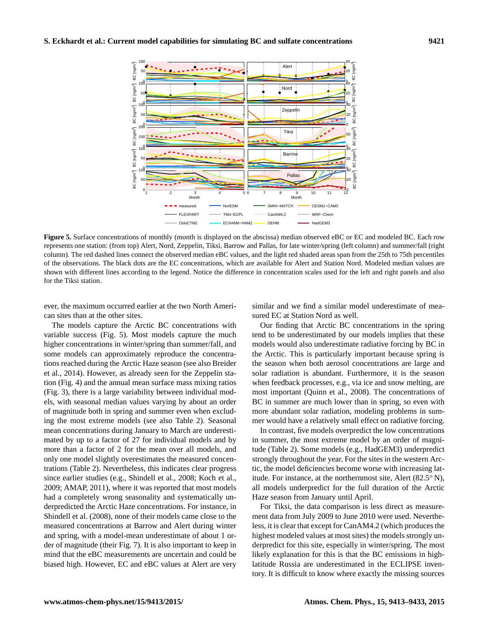

**Figure 5.** Surface concentrations of monthly (month is displayed on the abscissa) median observed eBC or EC and modeled BC. Each row represents one station: (from top) Alert, Nord, Zeppelin, Tiksi, Barrow and Pallas, for late winter/spring (left column) and summer/fall (right column). The red dashed lines connect the observed median eBC values, and the light red shaded areas span from the 25th to 75th percentiles of the observations. The black dots are the EC concentrations, which are available for Alert and Station Nord. Modeled median values are shown with different lines according to the legend. Notice the difference in concentration scales used for the left and right panels and also for the Tiksi station.

ever, the maximum occurred earlier at the two North American sites than at the other sites.

The models capture the Arctic BC concentrations with variable success (Fig. 5). Most models capture the much higher concentrations in winter/spring than summer/fall, and some models can approximately reproduce the concentrations reached during the Arctic Haze season (see also Breider et al., 2014). However, as already seen for the Zeppelin station (Fig. 4) and the annual mean surface mass mixing ratios (Fig. 3), there is a large variability between individual models, with seasonal median values varying by about an order of magnitude both in spring and summer even when excluding the most extreme models (see also Table 2). Seasonal mean concentrations during January to March are underestimated by up to a factor of 27 for individual models and by more than a factor of 2 for the mean over all models, and only one model slightly overestimates the measured concentrations (Table 2). Nevertheless, this indicates clear progress since earlier studies (e.g., Shindell et al., 2008; Koch et al., 2009; AMAP, 2011), where it was reported that most models had a completely wrong seasonality and systematically underpredicted the Arctic Haze concentrations. For instance, in Shindell et al. (2008), none of their models came close to the measured concentrations at Barrow and Alert during winter and spring, with a model-mean underestimate of about 1 order of magnitude (their Fig. 7). It is also important to keep in mind that the eBC measurements are uncertain and could be biased high. However, EC and eBC values at Alert are very similar and we find a similar model underestimate of measured EC at Station Nord as well.

Our finding that Arctic BC concentrations in the spring tend to be underestimated by our models implies that these models would also underestimate radiative forcing by BC in the Arctic. This is particularly important because spring is the season when both aerosol concentrations are large and solar radiation is abundant. Furthermore, it is the season when feedback processes, e.g., via ice and snow melting, are most important (Quinn et al., 2008). The concentrations of BC in summer are much lower than in spring, so even with more abundant solar radiation, modeling problems in summer would have a relatively small effect on radiative forcing.

In contrast, five models overpredict the low concentrations in summer, the most extreme model by an order of magnitude (Table 2). Some models (e.g., HadGEM3) underpredict strongly throughout the year. For the sites in the western Arctic, the model deficiencies become worse with increasing latitude. For instance, at the northernmost site, Alert (82.5◦ N), all models underpredict for the full duration of the Arctic Haze season from January until April.

For Tiksi, the data comparison is less direct as measurement data from July 2009 to June 2010 were used. Nevertheless, it is clear that except for CanAM4.2 (which produces the highest modeled values at most sites) the models strongly underpredict for this site, especially in winter/spring. The most likely explanation for this is that the BC emissions in highlatitude Russia are underestimated in the ECLIPSE inventory. It is difficult to know where exactly the missing sources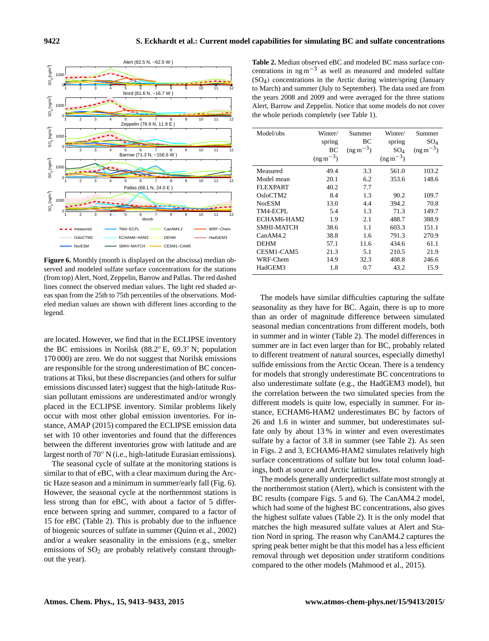

**Figure 6.** Monthly (month is displayed on the abscissa) median observed and modeled sulfate surface concentrations for the stations (from top) Alert, Nord, Zeppelin, Barrow and Pallas. The red dashed lines connect the observed median values. The light red shaded areas span from the 25th to 75th percentiles of the observations. Modeled median values are shown with different lines according to the legend.

are located. However, we find that in the ECLIPSE inventory the BC emissions in Norilsk (88.2◦ E, 69.3◦ N; population 170 000) are zero. We do not suggest that Norilsk emissions are responsible for the strong underestimation of BC concentrations at Tiksi, but these discrepancies (and others for sulfur emissions discussed later) suggest that the high-latitude Russian pollutant emissions are underestimated and/or wrongly placed in the ECLIPSE inventory. Similar problems likely occur with most other global emission inventories. For instance, AMAP (2015) compared the ECLIPSE emission data set with 10 other inventories and found that the differences between the different inventories grow with latitude and are largest north of 70◦ N (i.e., high-latitude Eurasian emissions).

The seasonal cycle of sulfate at the monitoring stations is similar to that of eBC, with a clear maximum during the Arctic Haze season and a minimum in summer/early fall (Fig. 6). However, the seasonal cycle at the northernmost stations is less strong than for eBC, with about a factor of 5 difference between spring and summer, compared to a factor of 15 for eBC (Table 2). This is probably due to the influence of biogenic sources of sulfate in summer (Quinn et al., 2002) and/or a weaker seasonality in the emissions (e.g., smelter emissions of  $SO<sub>2</sub>$  are probably relatively constant throughout the year).

**Table 2.** Median observed eBC and modeled BC mass surface concentrations in  $ng m^{-3}$  as well as measured and modeled sulfate (SO4) concentrations in the Arctic during winter/spring (January to March) and summer (July to September). The data used are from the years 2008 and 2009 and were averaged for the three stations Alert, Barrow and Zeppelin. Notice that some models do not cover the whole periods completely (see Table 1).

| Model/obs         | Winter/<br>spring<br>ВC<br>$(ng\,m^{-3})$ | Summer<br>ВC<br>$(ng\,m^{-3})$ | Winter/<br>spring<br>$SO_4$<br>$(ng\,m^{-3})$ | Summer<br>$SO_4$<br>$(ng\,m^{-3})$ |
|-------------------|-------------------------------------------|--------------------------------|-----------------------------------------------|------------------------------------|
| Measured          | 49.4                                      | 3.3                            | 561.0                                         | 103.2                              |
| Model mean        | 20.1                                      | 6.2                            | 353.6                                         | 148.6                              |
| <b>FLEXPART</b>   | 40.2                                      | 7.7                            |                                               |                                    |
| OsloCTM2          | 8.4                                       | 1.3                            | 90.2                                          | 109.7                              |
| <b>NorESM</b>     | 13.0                                      | 4.4                            | 394.2                                         | 70.8                               |
| TM4-ECPL          | 5.4                                       | 1.3                            | 71.3                                          | 149.7                              |
| ECHAM6-HAM2       | 1.9                                       | 2.1                            | 488.7                                         | 388.9                              |
| <b>SMHI-MATCH</b> | 38.6                                      | 1.1                            | 603.3                                         | 151.1                              |
| CanAM4.2          | 38.8                                      | 1.6                            | 791.3                                         | 270.9                              |
| <b>DEHM</b>       | 57.1                                      | 11.6                           | 434.6                                         | 61.1                               |
| CESM1-CAM5        | 21.3                                      | 5.1                            | 210.5                                         | 21.9                               |
| WRF-Chem          | 14.9                                      | 32.3                           | 408.8                                         | 246.6                              |
| HadGEM3           | 1.8                                       | 0.7                            | 43.2                                          | 15.9                               |

The models have similar difficulties capturing the sulfate seasonality as they have for BC. Again, there is up to more than an order of magnitude difference between simulated seasonal median concentrations from different models, both in summer and in winter (Table 2). The model differences in summer are in fact even larger than for BC, probably related to different treatment of natural sources, especially dimethyl sulfide emissions from the Arctic Ocean. There is a tendency for models that strongly underestimate BC concentrations to also underestimate sulfate (e.g., the HadGEM3 model), but the correlation between the two simulated species from the different models is quite low, especially in summer. For instance, ECHAM6-HAM2 underestimates BC by factors of 26 and 1.6 in winter and summer, but underestimates sulfate only by about 13 % in winter and even overestimates sulfate by a factor of 3.8 in summer (see Table 2). As seen in Figs. 2 and 3, ECHAM6-HAM2 simulates relatively high surface concentrations of sulfate but low total column loadings, both at source and Arctic latitudes.

The models generally underpredict sulfate most strongly at the northernmost station (Alert), which is consistent with the BC results (compare Figs. 5 and 6). The CanAM4.2 model, which had some of the highest BC concentrations, also gives the highest sulfate values (Table 2). It is the only model that matches the high measured sulfate values at Alert and Station Nord in spring. The reason why CanAM4.2 captures the spring peak better might be that this model has a less efficient removal through wet deposition under stratiform conditions compared to the other models (Mahmood et al., 2015).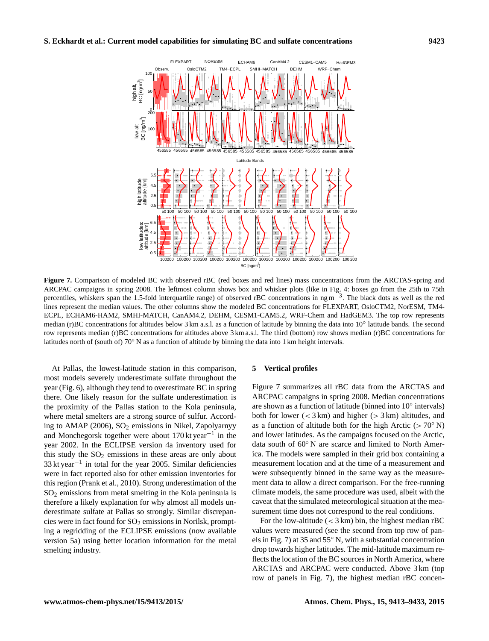

**Figure 7.** Comparison of modeled BC with observed rBC (red boxes and red lines) mass concentrations from the ARCTAS-spring and ARCPAC campaigns in spring 2008. The leftmost column shows box and whisker plots (like in Fig. 4: boxes go from the 25th to 75th percentiles, whiskers span the 1.5-fold interquartile range) of observed rBC concentrations in ng m<sup>-3</sup>. The black dots as well as the red lines represent the median values. The other columns show the modeled BC concentrations for FLEXPART, OsloCTM2, NorESM, TM4- ECPL, ECHAM6-HAM2, SMHI-MATCH, CanAM4.2, DEHM, CESM1-CAM5.2, WRF-Chem and HadGEM3. The top row represents median (r)BC concentrations for altitudes below 3 km a.s.l. as a function of latitude by binning the data into 10° latitude bands. The second row represents median (r)BC concentrations for altitudes above 3 km a.s.l. The third (bottom) row shows median (r)BC concentrations for latitudes north of (south of) 70◦ N as a function of altitude by binning the data into 1 km height intervals.

At Pallas, the lowest-latitude station in this comparison, most models severely underestimate sulfate throughout the year (Fig. 6), although they tend to overestimate BC in spring there. One likely reason for the sulfate underestimation is the proximity of the Pallas station to the Kola peninsula, where metal smelters are a strong source of sulfur. According to AMAP (2006),  $SO<sub>2</sub>$  emissions in Nikel, Zapolyarnyy and Monchegorsk together were about 170 kt year−<sup>1</sup> in the year 2002. In the ECLIPSE version 4a inventory used for this study the  $SO<sub>2</sub>$  emissions in these areas are only about 33 kt year−<sup>1</sup> in total for the year 2005. Similar deficiencies were in fact reported also for other emission inventories for this region (Prank et al., 2010). Strong underestimation of the  $SO<sub>2</sub>$  emissions from metal smelting in the Kola peninsula is therefore a likely explanation for why almost all models underestimate sulfate at Pallas so strongly. Similar discrepancies were in fact found for  $SO_2$  emissions in Norilsk, prompting a regridding of the ECLIPSE emissions (now available version 5a) using better location information for the metal smelting industry.

#### **5 Vertical profiles**

Figure 7 summarizes all rBC data from the ARCTAS and ARCPAC campaigns in spring 2008. Median concentrations are shown as a function of latitude (binned into 10◦ intervals) both for lower  $\left($  < 3 km) and higher ( $>$  3 km) altitudes, and as a function of altitude both for the high Arctic ( $> 70°$  N) and lower latitudes. As the campaigns focused on the Arctic, data south of 60◦ N are scarce and limited to North America. The models were sampled in their grid box containing a measurement location and at the time of a measurement and were subsequently binned in the same way as the measurement data to allow a direct comparison. For the free-running climate models, the same procedure was used, albeit with the caveat that the simulated meteorological situation at the measurement time does not correspond to the real conditions.

For the low-altitude  $(< 3 \text{ km})$  bin, the highest median rBC values were measured (see the second from top row of panels in Fig. 7) at 35 and 55◦ N, with a substantial concentration drop towards higher latitudes. The mid-latitude maximum reflects the location of the BC sources in North America, where ARCTAS and ARCPAC were conducted. Above 3 km (top row of panels in Fig. 7), the highest median rBC concen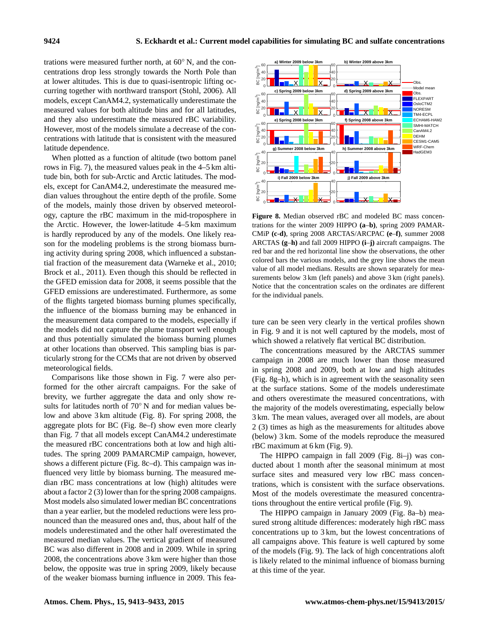trations were measured further north, at 60◦ N, and the concentrations drop less strongly towards the North Pole than at lower altitudes. This is due to quasi-isentropic lifting occurring together with northward transport (Stohl, 2006). All models, except CanAM4.2, systematically underestimate the measured values for both altitude bins and for all latitudes, and they also underestimate the measured rBC variability. However, most of the models simulate a decrease of the concentrations with latitude that is consistent with the measured latitude dependence.

When plotted as a function of altitude (two bottom panel rows in Fig. 7), the measured values peak in the 4–5 km altitude bin, both for sub-Arctic and Arctic latitudes. The models, except for CanAM4.2, underestimate the measured median values throughout the entire depth of the profile. Some of the models, mainly those driven by observed meteorology, capture the rBC maximum in the mid-troposphere in the Arctic. However, the lower-latitude 4–5 km maximum is hardly reproduced by any of the models. One likely reason for the modeling problems is the strong biomass burning activity during spring 2008, which influenced a substantial fraction of the measurement data (Warneke et al., 2010; Brock et al., 2011). Even though this should be reflected in the GFED emission data for 2008, it seems possible that the GFED emissions are underestimated. Furthermore, as some of the flights targeted biomass burning plumes specifically, the influence of the biomass burning may be enhanced in the measurement data compared to the models, especially if the models did not capture the plume transport well enough and thus potentially simulated the biomass burning plumes at other locations than observed. This sampling bias is particularly strong for the CCMs that are not driven by observed meteorological fields.

Comparisons like those shown in Fig. 7 were also performed for the other aircraft campaigns. For the sake of brevity, we further aggregate the data and only show results for latitudes north of 70◦ N and for median values below and above 3 km altitude (Fig. 8). For spring 2008, the aggregate plots for BC (Fig. 8e–f) show even more clearly than Fig. 7 that all models except CanAM4.2 underestimate the measured rBC concentrations both at low and high altitudes. The spring 2009 PAMARCMiP campaign, however, shows a different picture (Fig. 8c–d). This campaign was influenced very little by biomass burning. The measured median rBC mass concentrations at low (high) altitudes were about a factor 2 (3) lower than for the spring 2008 campaigns. Most models also simulated lower median BC concentrations than a year earlier, but the modeled reductions were less pronounced than the measured ones and, thus, about half of the models underestimated and the other half overestimated the measured median values. The vertical gradient of measured BC was also different in 2008 and in 2009. While in spring 2008, the concentrations above 3 km were higher than those below, the opposite was true in spring 2009, likely because of the weaker biomass burning influence in 2009. This fea-



**Figure 8.** Median observed rBC and modeled BC mass concentrations for the winter 2009 HIPPO **(a**–**b)**, spring 2009 PAMAR-CMiP **(c**-**d)**, spring 2008 ARCTAS/ARCPAC **(e**–**f)**, summer 2008 ARCTAS **(g**–**h)** and fall 2009 HIPPO **(i**–**j)** aircraft campaigns. The red bar and the red horizontal line show the observations, the other colored bars the various models, and the grey line shows the mean value of all model medians. Results are shown separately for measurements below 3 km (left panels) and above 3 km (right panels). Notice that the concentration scales on the ordinates are different for the individual panels.

ture can be seen very clearly in the vertical profiles shown in Fig. 9 and it is not well captured by the models, most of which showed a relatively flat vertical BC distribution.

The concentrations measured by the ARCTAS summer campaign in 2008 are much lower than those measured in spring 2008 and 2009, both at low and high altitudes (Fig. 8g–h), which is in agreement with the seasonality seen at the surface stations. Some of the models underestimate and others overestimate the measured concentrations, with the majority of the models overestimating, especially below 3 km. The mean values, averaged over all models, are about 2 (3) times as high as the measurements for altitudes above (below) 3 km. Some of the models reproduce the measured rBC maximum at 6 km (Fig. 9).

The HIPPO campaign in fall 2009 (Fig. 8i–j) was conducted about 1 month after the seasonal minimum at most surface sites and measured very low rBC mass concentrations, which is consistent with the surface observations. Most of the models overestimate the measured concentrations throughout the entire vertical profile (Fig. 9).

The HIPPO campaign in January 2009 (Fig. 8a–b) measured strong altitude differences: moderately high rBC mass concentrations up to 3 km, but the lowest concentrations of all campaigns above. This feature is well captured by some of the models (Fig. 9). The lack of high concentrations aloft is likely related to the minimal influence of biomass burning at this time of the year.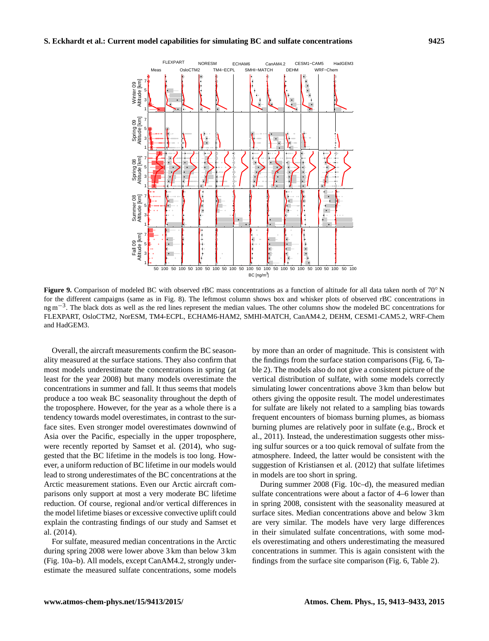

**Figure 9.** Comparison of modeled BC with observed rBC mass concentrations as a function of altitude for all data taken north of 70◦ N for the different campaigns (same as in Fig. 8). The leftmost column shows box and whisker plots of observed rBC concentrations in ng m<sup>-3</sup>. The black dots as well as the red lines represent the median values. The other columns show the modeled BC concentrations for FLEXPART, OsloCTM2, NorESM, TM4-ECPL, ECHAM6-HAM2, SMHI-MATCH, CanAM4.2, DEHM, CESM1-CAM5.2, WRF-Chem and HadGEM3.

Overall, the aircraft measurements confirm the BC seasonality measured at the surface stations. They also confirm that most models underestimate the concentrations in spring (at least for the year 2008) but many models overestimate the concentrations in summer and fall. It thus seems that models produce a too weak BC seasonality throughout the depth of the troposphere. However, for the year as a whole there is a tendency towards model overestimates, in contrast to the surface sites. Even stronger model overestimates downwind of Asia over the Pacific, especially in the upper troposphere, were recently reported by Samset et al. (2014), who suggested that the BC lifetime in the models is too long. However, a uniform reduction of BC lifetime in our models would lead to strong underestimates of the BC concentrations at the Arctic measurement stations. Even our Arctic aircraft comparisons only support at most a very moderate BC lifetime reduction. Of course, regional and/or vertical differences in the model lifetime biases or excessive convective uplift could explain the contrasting findings of our study and Samset et al. (2014).

For sulfate, measured median concentrations in the Arctic during spring 2008 were lower above 3 km than below 3 km (Fig. 10a–b). All models, except CanAM4.2, strongly underestimate the measured sulfate concentrations, some models

by more than an order of magnitude. This is consistent with the findings from the surface station comparisons (Fig. 6, Table 2). The models also do not give a consistent picture of the vertical distribution of sulfate, with some models correctly simulating lower concentrations above 3 km than below but others giving the opposite result. The model underestimates for sulfate are likely not related to a sampling bias towards frequent encounters of biomass burning plumes, as biomass burning plumes are relatively poor in sulfate (e.g., Brock et al., 2011). Instead, the underestimation suggests other missing sulfur sources or a too quick removal of sulfate from the atmosphere. Indeed, the latter would be consistent with the suggestion of Kristiansen et al. (2012) that sulfate lifetimes in models are too short in spring.

During summer 2008 (Fig. 10c–d), the measured median sulfate concentrations were about a factor of 4–6 lower than in spring 2008, consistent with the seasonality measured at surface sites. Median concentrations above and below 3 km are very similar. The models have very large differences in their simulated sulfate concentrations, with some models overestimating and others underestimating the measured concentrations in summer. This is again consistent with the findings from the surface site comparison (Fig. 6, Table 2).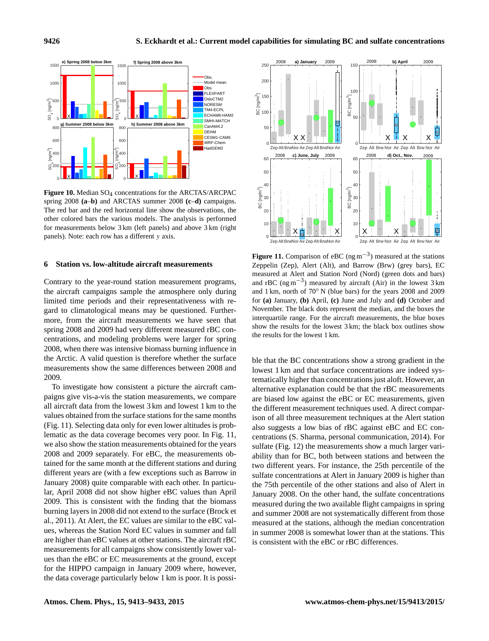

Figure 10. Median  $SO_4$  concentrations for the ARCTAS/ARCPAC spring 2008 **(a**–**b)** and ARCTAS summer 2008 **(c**–**d)** campaigns. The red bar and the red horizontal line show the observations, the other colored bars the various models. The analysis is performed for measurements below 3 km (left panels) and above 3 km (right panels). Note: each row has a different y axis.

#### **6 Station vs. low-altitude aircraft measurements**

Contrary to the year-round station measurement programs, the aircraft campaigns sample the atmosphere only during limited time periods and their representativeness with regard to climatological means may be questioned. Furthermore, from the aircraft measurements we have seen that spring 2008 and 2009 had very different measured rBC concentrations, and modeling problems were larger for spring 2008, when there was intensive biomass burning influence in the Arctic. A valid question is therefore whether the surface measurements show the same differences between 2008 and 2009.

To investigate how consistent a picture the aircraft campaigns give vis-a-vis the station measurements, we compare all aircraft data from the lowest 3 km and lowest 1 km to the values obtained from the surface stations for the same months (Fig. 11). Selecting data only for even lower altitudes is problematic as the data coverage becomes very poor. In Fig. 11, we also show the station measurements obtained for the years 2008 and 2009 separately. For eBC, the measurements obtained for the same month at the different stations and during different years are (with a few exceptions such as Barrow in January 2008) quite comparable with each other. In particular, April 2008 did not show higher eBC values than April 2009. This is consistent with the finding that the biomass burning layers in 2008 did not extend to the surface (Brock et al., 2011). At Alert, the EC values are similar to the eBC values, whereas the Station Nord EC values in summer and fall are higher than eBC values at other stations. The aircraft rBC measurements for all campaigns show consistently lower values than the eBC or EC measurements at the ground, except for the HIPPO campaign in January 2009 where, however, the data coverage particularly below 1 km is poor. It is possi-



**Figure 11.** Comparison of eBC ( $ng m^{-3}$ ) measured at the stations Zeppelin (Zep), Alert (Alt), and Barrow (Brw) (grey bars), EC measured at Alert and Station Nord (Nord) (green dots and bars) and rBC ( $ng\ m^{-3}$ ) measured by aircraft (Air) in the lowest 3 km and 1 km, north of 70◦ N (blue bars) for the years 2008 and 2009 for **(a)** January, **(b)** April, **(c)** June and July and **(d)** October and November. The black dots represent the median, and the boxes the interquartile range. For the aircraft measurements, the blue boxes show the results for the lowest 3 km; the black box outlines show the results for the lowest 1 km.

ble that the BC concentrations show a strong gradient in the lowest 1 km and that surface concentrations are indeed systematically higher than concentrations just aloft. However, an alternative explanation could be that the rBC measurements are biased low against the eBC or EC measurements, given the different measurement techniques used. A direct comparison of all three measurement techniques at the Alert station also suggests a low bias of rBC against eBC and EC concentrations (S. Sharma, personal communication, 2014). For sulfate (Fig. 12) the measurements show a much larger variability than for BC, both between stations and between the two different years. For instance, the 25th percentile of the sulfate concentrations at Alert in January 2009 is higher than the 75th percentile of the other stations and also of Alert in January 2008. On the other hand, the sulfate concentrations measured during the two available flight campaigns in spring and summer 2008 are not systematically different from those measured at the stations, although the median concentration in summer 2008 is somewhat lower than at the stations. This is consistent with the eBC or rBC differences.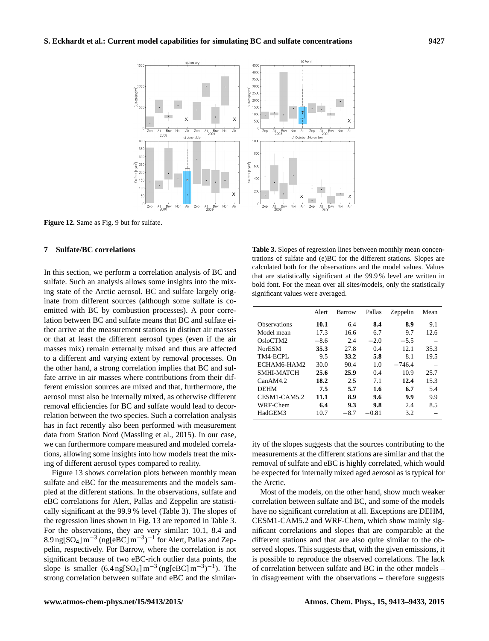

**Figure 12.** Same as Fig. 9 but for sulfate.

#### **7 Sulfate/BC correlations**

In this section, we perform a correlation analysis of BC and sulfate. Such an analysis allows some insights into the mixing state of the Arctic aerosol. BC and sulfate largely originate from different sources (although some sulfate is coemitted with BC by combustion processes). A poor correlation between BC and sulfate means that BC and sulfate either arrive at the measurement stations in distinct air masses or that at least the different aerosol types (even if the air masses mix) remain externally mixed and thus are affected to a different and varying extent by removal processes. On the other hand, a strong correlation implies that BC and sulfate arrive in air masses where contributions from their different emission sources are mixed and that, furthermore, the aerosol must also be internally mixed, as otherwise different removal efficiencies for BC and sulfate would lead to decorrelation between the two species. Such a correlation analysis has in fact recently also been performed with measurement data from Station Nord (Massling et al., 2015). In our case, we can furthermore compare measured and modeled correlations, allowing some insights into how models treat the mixing of different aerosol types compared to reality.

Figure 13 shows correlation plots between monthly mean sulfate and eBC for the measurements and the models sampled at the different stations. In the observations, sulfate and eBC correlations for Alert, Pallas and Zeppelin are statistically significant at the 99.9 % level (Table 3). The slopes of the regression lines shown in Fig. 13 are reported in Table 3. For the observations, they are very similar: 10.1, 8.4 and 8.9 ng[SO<sub>4</sub>] m<sup>-3</sup> (ng[eBC] m<sup>-3</sup>)<sup>-1</sup> for Alert, Pallas and Zeppelin, respectively. For Barrow, where the correlation is not significant because of two eBC-rich outlier data points, the slope is smaller  $(6.4 \text{ ng } [SO_4] \text{ m}^{-3} (\text{ng } [eBC] \text{ m}^{-3})^{-1}$ ). The strong correlation between sulfate and eBC and the similar-

**Table 3.** Slopes of regression lines between monthly mean concentrations of sulfate and (e)BC for the different stations. Slopes are calculated both for the observations and the model values. Values that are statistically significant at the 99.9 % level are written in bold font. For the mean over all sites/models, only the statistically significant values were averaged.

|                     | Alert  | Barrow | Pallas  | Zeppelin | Mean |
|---------------------|--------|--------|---------|----------|------|
| <b>Observations</b> | 10.1   | 6.4    | 8.4     | 8.9      | 9.1  |
| Model mean          | 17.3   | 16.6   | 6.7     | 9.7      | 12.6 |
| OsloCTM2            | $-8.6$ | 2.4    | $-2.0$  | $-5.5$   |      |
| <b>NorESM</b>       | 35.3   | 27.8   | 0.4     | 12.1     | 35.3 |
| TM4-ECPL            | 9.5    | 33.2   | 5.8     | 8.1      | 19.5 |
| ECHAM6-HAM2         | 30.0   | 90.4   | 1.0     | $-746.4$ |      |
| SMHI-MATCH          | 25.6   | 25.9   | 0.4     | 10.9     | 25.7 |
| CanAM4.2            | 18.2   | 2.5    | 7.1     | 12.4     | 15.3 |
| <b>DEHM</b>         | 7.5    | 5.7    | 1.6     | 6.7      | 5.4  |
| CESM1-CAM5.2        | 11.1   | 8.9    | 9.6     | 9.9      | 9.9  |
| WRF-Chem            | 6.4    | 9.3    | 9.8     | 2.4      | 8.5  |
| HadGEM3             | 10.7   | $-8.7$ | $-0.81$ | 3.2      |      |

ity of the slopes suggests that the sources contributing to the measurements at the different stations are similar and that the removal of sulfate and eBC is highly correlated, which would be expected for internally mixed aged aerosol as is typical for the Arctic.

Most of the models, on the other hand, show much weaker correlation between sulfate and BC, and some of the models have no significant correlation at all. Exceptions are DEHM, CESM1-CAM5.2 and WRF-Chem, which show mainly significant correlations and slopes that are comparable at the different stations and that are also quite similar to the observed slopes. This suggests that, with the given emissions, it is possible to reproduce the observed correlations. The lack of correlation between sulfate and BC in the other models – in disagreement with the observations – therefore suggests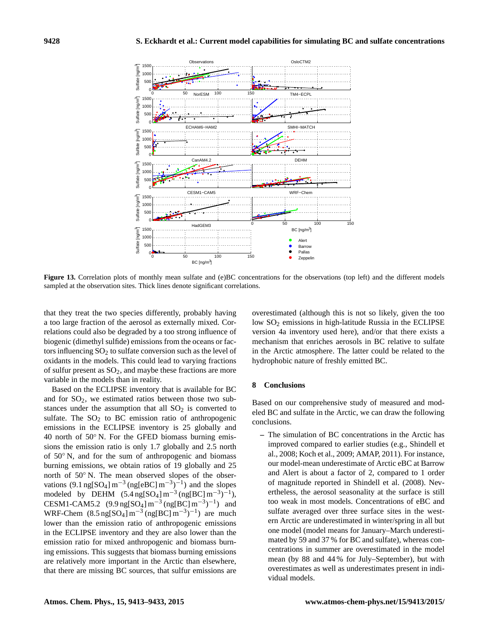

Figure 13. Correlation plots of monthly mean sulfate and (e)BC concentrations for the observations (top left) and the different models sampled at the observation sites. Thick lines denote significant correlations.

that they treat the two species differently, probably having a too large fraction of the aerosol as externally mixed. Correlations could also be degraded by a too strong influence of biogenic (dimethyl sulfide) emissions from the oceans or factors influencing  $SO<sub>2</sub>$  to sulfate conversion such as the level of oxidants in the models. This could lead to varying fractions of sulfur present as  $SO_2$ , and maybe these fractions are more variable in the models than in reality.

Based on the ECLIPSE inventory that is available for BC and for  $SO_2$ , we estimated ratios between those two substances under the assumption that all  $SO<sub>2</sub>$  is converted to sulfate. The  $SO<sub>2</sub>$  to BC emission ratio of anthropogenic emissions in the ECLIPSE inventory is 25 globally and 40 north of 50◦ N. For the GFED biomass burning emissions the emission ratio is only 1.7 globally and 2.5 north of 50◦ N, and for the sum of anthropogenic and biomass burning emissions, we obtain ratios of 19 globally and 25 north of 50<sup>°</sup> N. The mean observed slopes of the observations  $(9.1 \text{ ng } [SO_4] \text{ m}^{-3} (\text{ng } [eBC] \text{ m}^{-3})^{-1})$  and the slopes modeled by DEHM  $(5.4 \text{ ng } [SO_4] \text{ m}^{-3} (\text{ng } [BC] \text{ m}^{-3})^{-1}$ ), CESM1-CAM5.2 (9.9 ng[SO<sub>4</sub>] m<sup>-3</sup> (ng[BC] m<sup>-3</sup>)<sup>-1</sup>) and WRF-Chem  $(8.5 \text{ ng } [SO_4] \text{ m}^{-3} (\text{ng } [BC] \text{ m}^{-3})^{-1})$  are much lower than the emission ratio of anthropogenic emissions in the ECLIPSE inventory and they are also lower than the emission ratio for mixed anthropogenic and biomass burning emissions. This suggests that biomass burning emissions are relatively more important in the Arctic than elsewhere, that there are missing BC sources, that sulfur emissions are overestimated (although this is not so likely, given the too low SO<sub>2</sub> emissions in high-latitude Russia in the ECLIPSE version 4a inventory used here), and/or that there exists a mechanism that enriches aerosols in BC relative to sulfate in the Arctic atmosphere. The latter could be related to the hydrophobic nature of freshly emitted BC.

# **8 Conclusions**

Based on our comprehensive study of measured and modeled BC and sulfate in the Arctic, we can draw the following conclusions.

**–** The simulation of BC concentrations in the Arctic has improved compared to earlier studies (e.g., Shindell et al., 2008; Koch et al., 2009; AMAP, 2011). For instance, our model-mean underestimate of Arctic eBC at Barrow and Alert is about a factor of 2, compared to 1 order of magnitude reported in Shindell et al. (2008). Nevertheless, the aerosol seasonality at the surface is still too weak in most models. Concentrations of eBC and sulfate averaged over three surface sites in the western Arctic are underestimated in winter/spring in all but one model (model means for January–March underestimated by 59 and 37 % for BC and sulfate), whereas concentrations in summer are overestimated in the model mean (by 88 and 44 % for July–September), but with overestimates as well as underestimates present in individual models.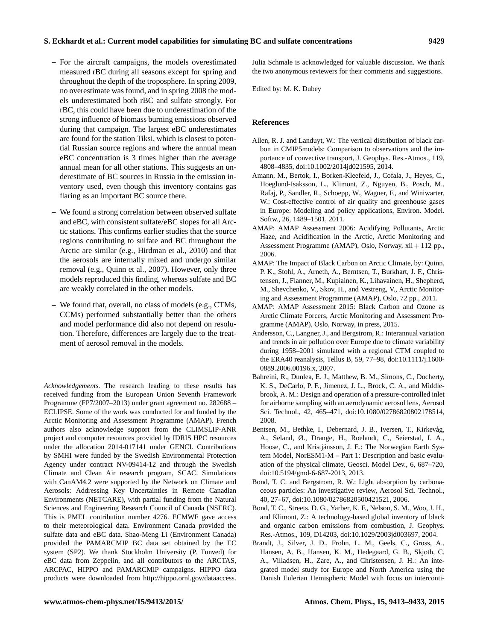- **–** For the aircraft campaigns, the models overestimated measured rBC during all seasons except for spring and throughout the depth of the troposphere. In spring 2009, no overestimate was found, and in spring 2008 the models underestimated both rBC and sulfate strongly. For rBC, this could have been due to underestimation of the strong influence of biomass burning emissions observed during that campaign. The largest eBC underestimates are found for the station Tiksi, which is closest to potential Russian source regions and where the annual mean eBC concentration is 3 times higher than the average annual mean for all other stations. This suggests an underestimate of BC sources in Russia in the emission inventory used, even though this inventory contains gas flaring as an important BC source there.
- **–** We found a strong correlation between observed sulfate and eBC, with consistent sulfate/eBC slopes for all Arctic stations. This confirms earlier studies that the source regions contributing to sulfate and BC throughout the Arctic are similar (e.g., Hirdman et al., 2010) and that the aerosols are internally mixed and undergo similar removal (e.g., Quinn et al., 2007). However, only three models reproduced this finding, whereas sulfate and BC are weakly correlated in the other models.
- **–** We found that, overall, no class of models (e.g., CTMs, CCMs) performed substantially better than the others and model performance did also not depend on resolution. Therefore, differences are largely due to the treatment of aerosol removal in the models.

*Acknowledgements.* The research leading to these results has received funding from the European Union Seventh Framework Programme (FP7/2007–2013) under grant agreement no. 282688 – ECLIPSE. Some of the work was conducted for and funded by the Arctic Monitoring and Assessment Programme (AMAP). French authors also acknowledge support from the CLIMSLIP-ANR project and computer resources provided by IDRIS HPC resources under the allocation 2014-017141 under GENCI. Contributions by SMHI were funded by the Swedish Environmental Protection Agency under contract NV-09414-12 and through the Swedish Climate and Clean Air research program, SCAC. Simulations with CanAM4.2 were supported by the Network on Climate and Aerosols: Addressing Key Uncertainties in Remote Canadian Environments (NETCARE), with partial funding from the Natural Sciences and Engineering Research Council of Canada (NSERC). This is PMEL contribution number 4276. ECMWF gave access to their meteorological data. Environment Canada provided the sulfate data and eBC data. Shao-Meng Li (Environment Canada) provided the PAMARCMIP BC data set obtained by the EC system (SP2). We thank Stockholm University (P. Tunved) for eBC data from Zeppelin, and all contributors to the ARCTAS, ARCPAC, HIPPO and PAMARCMiP campaigns. HIPPO data products were downloaded from [http://hippo.ornl.gov/dataaccess.](http://hippo.ornl.gov/dataaccess)

Julia Schmale is acknowledged for valuable discussion. We thank the two anonymous reviewers for their comments and suggestions.

Edited by: M. K. Dubey

#### **References**

- Allen, R. J. and Landuyt, W.: The vertical distribution of black carbon in CMIP5models: Comparison to observations and the importance of convective transport, J. Geophys. Res.-Atmos., 119, 4808–4835, doi[:10.1002/2014jd021595,](http://dx.doi.org/10.1002/2014jd021595) 2014.
- Amann, M., Bertok, I., Borken-Kleefeld, J., Cofala, J., Heyes, C., Hoeglund-Isaksson, L., Klimont, Z., Nguyen, B., Posch, M., Rafaj, P., Sandler, R., Schoepp, W., Wagner, F., and Winiwarter, W.: Cost-effective control of air quality and greenhouse gases in Europe: Modeling and policy applications, Environ. Model. Softw., 26, 1489–1501, 2011.
- AMAP: AMAP Assessment 2006: Acidifying Pollutants, Arctic Haze, and Acidification in the Arctic, Arctic Monitoring and Assessment Programme (AMAP), Oslo, Norway, xii + 112 pp., 2006.
- AMAP: The Impact of Black Carbon on Arctic Climate, by: Quinn, P. K., Stohl, A., Arneth, A., Berntsen, T., Burkhart, J. F., Christensen, J., Flanner, M., Kupiainen, K., Lihavainen, H., Shepherd, M., Shevchenko, V., Skov, H., and Vestreng, V., Arctic Monitoring and Assessment Programme (AMAP), Oslo, 72 pp., 2011.
- AMAP: AMAP Assessment 2015: Black Carbon and Ozone as Arctic Climate Forcers, Arctic Monitoring and Assessment Programme (AMAP), Oslo, Norway, in press, 2015.
- Andersson, C., Langner, J., and Bergstrom, R.: Interannual variation and trends in air pollution over Europe due to climate variability during 1958–2001 simulated with a regional CTM coupled to the ERA40 reanalysis, Tellus B, 59, 77–98, doi[:10.1111/j.1600-](http://dx.doi.org/10.1111/j.1600-0889.2006.00196.x) [0889.2006.00196.x,](http://dx.doi.org/10.1111/j.1600-0889.2006.00196.x) 2007.
- Bahreini, R., Dunlea, E. J., Matthew, B. M., Simons, C., Docherty, K. S., DeCarlo, P. F., Jimenez, J. L., Brock, C. A., and Middlebrook, A. M.: Design and operation of a pressure-controlled inlet for airborne sampling with an aerodynamic aerosol lens, Aerosol Sci. Technol., 42, 465–471, doi[:10.1080/02786820802178514,](http://dx.doi.org/10.1080/02786820802178514) 2008.
- Bentsen, M., Bethke, I., Debernard, J. B., Iversen, T., Kirkevåg, A., Seland, Ø., Drange, H., Roelandt, C., Seierstad, I. A., Hoose, C., and Kristjánsson, J. E.: The Norwegian Earth System Model, NorESM1-M – Part 1: Description and basic evaluation of the physical climate, Geosci. Model Dev., 6, 687–720, doi[:10.5194/gmd-6-687-2013,](http://dx.doi.org/10.5194/gmd-6-687-2013) 2013.
- Bond, T. C. and Bergstrom, R. W.: Light absorption by carbonaceous particles: An investigative review, Aerosol Sci. Technol., 40, 27–67, doi[:10.1080/02786820500421521,](http://dx.doi.org/10.1080/02786820500421521) 2006.
- Bond, T. C., Streets, D. G., Yarber, K. F., Nelson, S. M., Woo, J. H., and Klimont, Z.: A technology-based global inventory of black and organic carbon emissions from combustion, J. Geophys. Res.-Atmos., 109, D14203, doi[:10.1029/2003jd003697,](http://dx.doi.org/10.1029/2003jd003697) 2004.
- Brandt, J., Silver, J. D., Frohn, L. M., Geels, C., Gross, A., Hansen, A. B., Hansen, K. M., Hedegaard, G. B., Skjoth, C. A., Villadsen, H., Zare, A., and Christensen, J. H.: An integrated model study for Europe and North America using the Danish Eulerian Hemispheric Model with focus on interconti-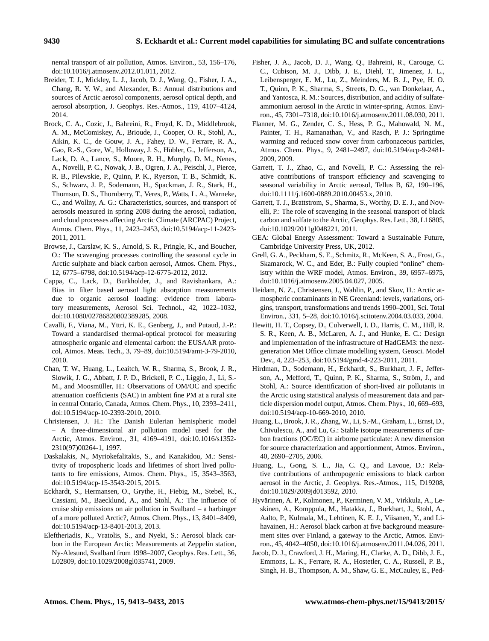nental transport of air pollution, Atmos. Environ., 53, 156–176, doi[:10.1016/j.atmosenv.2012.01.011,](http://dx.doi.org/10.1016/j.atmosenv.2012.01.011) 2012.

- Breider, T. J., Mickley, L. J., Jacob, D. J., Wang, Q., Fisher, J. A., Chang, R. Y. W., and Alexander, B.: Annual distributions and sources of Arctic aerosol components, aerosol optical depth, and aerosol absorption, J. Geophys. Res.-Atmos., 119, 4107–4124, 2014.
- Brock, C. A., Cozic, J., Bahreini, R., Froyd, K. D., Middlebrook, A. M., McComiskey, A., Brioude, J., Cooper, O. R., Stohl, A., Aikin, K. C., de Gouw, J. A., Fahey, D. W., Ferrare, R. A., Gao, R.-S., Gore, W., Holloway, J. S., Hübler, G., Jefferson, A., Lack, D. A., Lance, S., Moore, R. H., Murphy, D. M., Nenes, A., Novelli, P. C., Nowak, J. B., Ogren, J. A., Peischl, J., Pierce, R. B., Pilewskie, P., Quinn, P. K., Ryerson, T. B., Schmidt, K. S., Schwarz, J. P., Sodemann, H., Spackman, J. R., Stark, H., Thomson, D. S., Thornberry, T., Veres, P., Watts, L. A., Warneke, C., and Wollny, A. G.: Characteristics, sources, and transport of aerosols measured in spring 2008 during the aerosol, radiation, and cloud processes affecting Arctic Climate (ARCPAC) Project, Atmos. Chem. Phys., 11, 2423–2453, doi[:10.5194/acp-11-2423-](http://dx.doi.org/10.5194/acp-11-2423-2011) [2011,](http://dx.doi.org/10.5194/acp-11-2423-2011) 2011.
- Browse, J., Carslaw, K. S., Arnold, S. R., Pringle, K., and Boucher, O.: The scavenging processes controlling the seasonal cycle in Arctic sulphate and black carbon aerosol, Atmos. Chem. Phys., 12, 6775–6798, doi[:10.5194/acp-12-6775-2012,](http://dx.doi.org/10.5194/acp-12-6775-2012) 2012.
- Cappa, C., Lack, D., Burkholder, J., and Ravishankara, A.: Bias in filter based aerosol light absorption measurements due to organic aerosol loading: evidence from laboratory measurements, Aerosol Sci. Technol., 42, 1022–1032, doi[:10.1080/02786820802389285,](http://dx.doi.org/10.1080/02786820802389285) 2008.
- Cavalli, F., Viana, M., Yttri, K. E., Genberg, J., and Putaud, J.-P.: Toward a standardised thermal-optical protocol for measuring atmospheric organic and elemental carbon: the EUSAAR protocol, Atmos. Meas. Tech., 3, 79–89, doi[:10.5194/amt-3-79-2010,](http://dx.doi.org/10.5194/amt-3-79-2010) 2010.
- Chan, T. W., Huang, L., Leaitch, W. R., Sharma, S., Brook, J. R., Slowik, J. G., Abbatt, J. P. D., Brickell, P. C., Liggio, J., Li, S.- M., and Moosmüller, H.: Observations of OM/OC and specific attenuation coefficients (SAC) in ambient fine PM at a rural site in central Ontario, Canada, Atmos. Chem. Phys., 10, 2393–2411, doi[:10.5194/acp-10-2393-2010,](http://dx.doi.org/10.5194/acp-10-2393-2010) 2010.
- Christensen, J. H.: The Danish Eulerian hemispheric model – A three-dimensional air pollution model used for the Arctic, Atmos. Environ., 31, 4169–4191, doi[:10.1016/s1352-](http://dx.doi.org/10.1016/s1352-2310(97)00264-1) [2310\(97\)00264-1,](http://dx.doi.org/10.1016/s1352-2310(97)00264-1) 1997.
- Daskalakis, N., Myriokefalitakis, S., and Kanakidou, M.: Sensitivity of tropospheric loads and lifetimes of short lived pollutants to fire emissions, Atmos. Chem. Phys., 15, 3543–3563, doi[:10.5194/acp-15-3543-2015,](http://dx.doi.org/10.5194/acp-15-3543-2015) 2015.
- Eckhardt, S., Hermansen, O., Grythe, H., Fiebig, M., Stebel, K., Cassiani, M., Baecklund, A., and Stohl, A.: The influence of cruise ship emissions on air pollution in Svalbard – a harbinger of a more polluted Arctic?, Atmos. Chem. Phys., 13, 8401–8409, doi[:10.5194/acp-13-8401-2013,](http://dx.doi.org/10.5194/acp-13-8401-2013) 2013.
- Eleftheriadis, K., Vratolis, S., and Nyeki, S.: Aerosol black carbon in the European Arctic: Measurements at Zeppelin station, Ny-Alesund, Svalbard from 1998–2007, Geophys. Res. Lett., 36, L02809, doi[:10.1029/2008gl035741,](http://dx.doi.org/10.1029/2008gl035741) 2009.
- Fisher, J. A., Jacob, D. J., Wang, Q., Bahreini, R., Carouge, C. C., Cubison, M. J., Dibb, J. E., Diehl, T., Jimenez, J. L., Leibensperger, E. M., Lu, Z., Meinders, M. B. J., Pye, H. O. T., Quinn, P. K., Sharma, S., Streets, D. G., van Donkelaar, A., and Yantosca, R. M.: Sources, distribution, and acidity of sulfateammonium aerosol in the Arctic in winter-spring, Atmos. Environ., 45, 7301–7318, doi[:10.1016/j.atmosenv.2011.08.030,](http://dx.doi.org/10.1016/j.atmosenv.2011.08.030) 2011.
- Flanner, M. G., Zender, C. S., Hess, P. G., Mahowald, N. M., Painter, T. H., Ramanathan, V., and Rasch, P. J.: Springtime warming and reduced snow cover from carbonaceous particles, Atmos. Chem. Phys., 9, 2481–2497, doi[:10.5194/acp-9-2481-](http://dx.doi.org/10.5194/acp-9-2481-2009) [2009,](http://dx.doi.org/10.5194/acp-9-2481-2009) 2009.
- Garrett, T. J., Zhao, C., and Novelli, P. C.: Assessing the relative contributions of transport efficiency and scavenging to seasonal variability in Arctic aerosol, Tellus B, 62, 190–196, doi[:10.1111/j.1600-0889.2010.00453.x,](http://dx.doi.org/10.1111/j.1600-0889.2010.00453.x) 2010.
- Garrett, T. J., Brattstrom, S., Sharma, S., Worthy, D. E. J., and Novelli, P.: The role of scavenging in the seasonal transport of black carbon and sulfate to the Arctic, Geophys. Res. Lett., 38, L16805, doi[:10.1029/2011gl048221,](http://dx.doi.org/10.1029/2011gl048221) 2011.
- GEA: Global Energy Assessment: Toward a Sustainable Future, Cambridge University Press, UK, 2012.
- Grell, G. A., Peckham, S. E., Schmitz, R., McKeen, S. A., Frost, G., Skamarock, W. C., and Eder, B.: Fully coupled "online" chemistry within the WRF model, Atmos. Environ., 39, 6957–6975, doi[:10.1016/j.atmosenv.2005.04.027,](http://dx.doi.org/10.1016/j.atmosenv.2005.04.027) 2005.
- Heidam, N. Z., Christensen, J., Wahlin, P., and Skov, H.: Arctic atmospheric contaminants in NE Greenland: levels, variations, origins, transport, transformations and trends 1990–2001, Sci. Total Environ., 331, 5–28, doi[:10.1016/j.scitotenv.2004.03.033,](http://dx.doi.org/10.1016/j.scitotenv.2004.03.033) 2004.
- Hewitt, H. T., Copsey, D., Culverwell, I. D., Harris, C. M., Hill, R. S. R., Keen, A. B., McLaren, A. J., and Hunke, E. C.: Design and implementation of the infrastructure of HadGEM3: the nextgeneration Met Office climate modelling system, Geosci. Model Dev., 4, 223–253, doi[:10.5194/gmd-4-223-2011,](http://dx.doi.org/10.5194/gmd-4-223-2011) 2011.
- Hirdman, D., Sodemann, H., Eckhardt, S., Burkhart, J. F., Jefferson, A., Mefford, T., Quinn, P. K., Sharma, S., Ström, J., and Stohl, A.: Source identification of short-lived air pollutants in the Arctic using statistical analysis of measurement data and particle dispersion model output, Atmos. Chem. Phys., 10, 669–693, doi[:10.5194/acp-10-669-2010,](http://dx.doi.org/10.5194/acp-10-669-2010) 2010.
- Huang, L., Brook, J. R., Zhang, W., Li, S.-M., Graham, L., Ernst, D., Chivulescu, A., and Lu, G.: Stable isotope measurements of carbon fractions (OC/EC) in airborne particulate: A new dimension for source characterization and apportionment, Atmos. Environ., 40, 2690–2705, 2006.
- Huang, L., Gong, S. L., Jia, C. Q., and Lavoue, D.: Relative contributions of anthropogenic emissions to black carbon aerosol in the Arctic, J. Geophys. Res.-Atmos., 115, D19208, doi[:10.1029/2009jd013592,](http://dx.doi.org/10.1029/2009jd013592) 2010.
- Hyvärinen, A. P., Kolmonen, P., Kerminen, V. M., Virkkula, A., Leskinen, A., Komppula, M., Hatakka, J., Burkhart, J., Stohl, A., Aalto, P., Kulmala, M., Lehtinen, K. E. J., Viisanen, Y., and Lihavainen, H.: Aerosol black carbon at five background measurement sites over Finland, a gateway to the Arctic, Atmos. Environ., 45, 4042–4050, doi[:10.1016/j.atmosenv.2011.04.026,](http://dx.doi.org/10.1016/j.atmosenv.2011.04.026) 2011.
- Jacob, D. J., Crawford, J. H., Maring, H., Clarke, A. D., Dibb, J. E., Emmons, L. K., Ferrare, R. A., Hostetler, C. A., Russell, P. B., Singh, H. B., Thompson, A. M., Shaw, G. E., McCauley, E., Ped-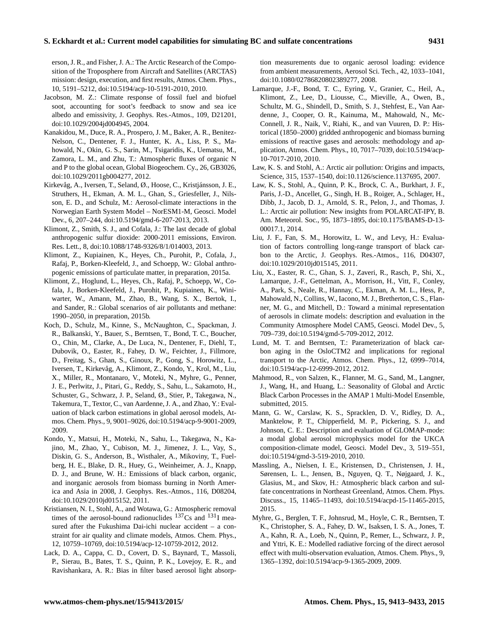#### **S. Eckhardt et al.: Current model capabilities for simulating BC and sulfate concentrations 9431**

erson, J. R., and Fisher, J. A.: The Arctic Research of the Composition of the Troposphere from Aircraft and Satellites (ARCTAS) mission: design, execution, and first results, Atmos. Chem. Phys., 10, 5191–5212, doi[:10.5194/acp-10-5191-2010,](http://dx.doi.org/10.5194/acp-10-5191-2010) 2010.

- Jacobson, M. Z.: Climate response of fossil fuel and biofuel soot, accounting for soot's feedback to snow and sea ice albedo and emissivity, J. Geophys. Res.-Atmos., 109, D21201, doi[:10.1029/2004jd004945,](http://dx.doi.org/10.1029/2004jd004945) 2004.
- Kanakidou, M., Duce, R. A., Prospero, J. M., Baker, A. R., Benitez-Nelson, C., Dentener, F. J., Hunter, K. A., Liss, P. S., Mahowald, N., Okin, G. S., Sarin, M., Tsigaridis, K., Uematsu, M., Zamora, L. M., and Zhu, T.: Atmospheric fluxes of organic N and P to the global ocean, Global Biogeochem. Cy., 26, GB3026, doi[:10.1029/2011gb004277,](http://dx.doi.org/10.1029/2011gb004277) 2012.
- Kirkevåg, A., Iversen, T., Seland, Ø., Hoose, C., Kristjánsson, J. E., Struthers, H., Ekman, A. M. L., Ghan, S., Griesfeller, J., Nilsson, E. D., and Schulz, M.: Aerosol-climate interactions in the Norwegian Earth System Model – NorESM1-M, Geosci. Model Dev., 6, 207–244, doi[:10.5194/gmd-6-207-2013,](http://dx.doi.org/10.5194/gmd-6-207-2013) 2013.
- Klimont, Z., Smith, S. J., and Cofala, J.: The last decade of global anthropogenic sulfur dioxide: 2000-2011 emissions, Environ. Res. Lett., 8, doi[:10.1088/1748-9326/8/1/014003,](http://dx.doi.org/10.1088/1748-9326/8/1/014003) 2013.
- Klimont, Z., Kupiainen, K., Heyes, Ch., Purohit, P., Cofala, J., Rafaj, P., Borken-Kleefeld, J., and Schoepp, W.: Global anthropogenic emissions of particulate matter, in preparation, 2015a.
- Klimont, Z., Hoglund, L., Heyes, Ch., Rafaj, P., Schoepp, W., Cofala, J., Borken-Kleefeld, J., Purohit, P., Kupiainen, K., Winiwarter, W., Amann, M., Zhao, B., Wang, S. X., Bertok, I., and Sander, R.: Global scenarios of air pollutants and methane: 1990–2050, in preparation, 2015b.
- Koch, D., Schulz, M., Kinne, S., McNaughton, C., Spackman, J. R., Balkanski, Y., Bauer, S., Berntsen, T., Bond, T. C., Boucher, O., Chin, M., Clarke, A., De Luca, N., Dentener, F., Diehl, T., Dubovik, O., Easter, R., Fahey, D. W., Feichter, J., Fillmore, D., Freitag, S., Ghan, S., Ginoux, P., Gong, S., Horowitz, L., Iversen, T., Kirkevåg, A., Klimont, Z., Kondo, Y., Krol, M., Liu, X., Miller, R., Montanaro, V., Moteki, N., Myhre, G., Penner, J. E., Perlwitz, J., Pitari, G., Reddy, S., Sahu, L., Sakamoto, H., Schuster, G., Schwarz, J. P., Seland, Ø., Stier, P., Takegawa, N., Takemura, T., Textor, C., van Aardenne, J. A., and Zhao, Y.: Evaluation of black carbon estimations in global aerosol models, Atmos. Chem. Phys., 9, 9001–9026, doi[:10.5194/acp-9-9001-2009,](http://dx.doi.org/10.5194/acp-9-9001-2009) 2009.
- Kondo, Y., Matsui, H., Moteki, N., Sahu, L., Takegawa, N., Kajino, M., Zhao, Y., Cubison, M. J., Jimenez, J. L., Vay, S., Diskin, G. S., Anderson, B., Wisthaler, A., Mikoviny, T., Fuelberg, H. E., Blake, D. R., Huey, G., Weinheimer, A. J., Knapp, D. J., and Brune, W. H.: Emissions of black carbon, organic, and inorganic aerosols from biomass burning in North America and Asia in 2008, J. Geophys. Res.-Atmos., 116, D08204, doi[:10.1029/2010jd015152,](http://dx.doi.org/10.1029/2010jd015152) 2011.
- Kristiansen, N. I., Stohl, A., and Wotawa, G.: Atmospheric removal times of the aerosol-bound radionuclides  $^{137}Cs$  and  $^{131}I$  measured after the Fukushima Dai-ichi nuclear accident – a constraint for air quality and climate models, Atmos. Chem. Phys., 12, 10759–10769, doi[:10.5194/acp-12-10759-2012,](http://dx.doi.org/10.5194/acp-12-10759-2012) 2012.
- Lack, D. A., Cappa, C. D., Covert, D. S., Baynard, T., Massoli, P., Sierau, B., Bates, T. S., Quinn, P. K., Lovejoy, E. R., and Ravishankara, A. R.: Bias in filter based aerosol light absorp-

tion measurements due to organic aerosol loading: evidence from ambient measurements, Aerosol Sci. Tech., 42, 1033–1041, doi[:10.1080/02786820802389277,](http://dx.doi.org/10.1080/02786820802389277) 2008.

- Lamarque, J.-F., Bond, T. C., Eyring, V., Granier, C., Heil, A., Klimont, Z., Lee, D., Liousse, C., Mieville, A., Owen, B., Schultz, M. G., Shindell, D., Smith, S. J., Stehfest, E., Van Aardenne, J., Cooper, O. R., Kainuma, M., Mahowald, N., Mc-Connell, J. R., Naik, V., Riahi, K., and van Vuuren, D. P.: Historical (1850–2000) gridded anthropogenic and biomass burning emissions of reactive gases and aerosols: methodology and application, Atmos. Chem. Phys., 10, 7017–7039, doi[:10.5194/acp-](http://dx.doi.org/10.5194/acp-10-7017-2010)[10-7017-2010,](http://dx.doi.org/10.5194/acp-10-7017-2010) 2010.
- Law, K. S. and Stohl, A.: Arctic air pollution: Origins and impacts, Science, 315, 1537–1540, doi[:10.1126/science.1137695,](http://dx.doi.org/10.1126/science.1137695) 2007.
- Law, K. S., Stohl, A., Quinn, P. K., Brock, C. A., Burkhart, J. F., Paris, J.-D., Ancellet, G., Singh, H. B., Roiger, A., Schlager, H., Dibb, J., Jacob, D. J., Arnold, S. R., Pelon, J., and Thomas, J. L.: Arctic air pollution: New insights from POLARCAT-IPY, B. Am. Meteorol. Soc., 95, 1873–1895, doi[:10.1175/BAMS-D-13-](http://dx.doi.org/10.1175/BAMS-D-13-00017.1) [00017.1,](http://dx.doi.org/10.1175/BAMS-D-13-00017.1) 2014.
- Liu, J. F., Fan, S. M., Horowitz, L. W., and Levy, H.: Evaluation of factors controlling long-range transport of black carbon to the Arctic, J. Geophys. Res.-Atmos., 116, D04307, doi[:10.1029/2010jd015145,](http://dx.doi.org/10.1029/2010jd015145) 2011.
- Liu, X., Easter, R. C., Ghan, S. J., Zaveri, R., Rasch, P., Shi, X., Lamarque, J.-F., Gettelman, A., Morrison, H., Vitt, F., Conley, A., Park, S., Neale, R., Hannay, C., Ekman, A. M. L., Hess, P., Mahowald, N., Collins, W., Iacono, M. J., Bretherton, C. S., Flanner, M. G., and Mitchell, D.: Toward a minimal representation of aerosols in climate models: description and evaluation in the Community Atmosphere Model CAM5, Geosci. Model Dev., 5, 709–739, doi[:10.5194/gmd-5-709-2012,](http://dx.doi.org/10.5194/gmd-5-709-2012) 2012.
- Lund, M. T. and Berntsen, T.: Parameterization of black carbon aging in the OsloCTM2 and implications for regional transport to the Arctic, Atmos. Chem. Phys., 12, 6999–7014, doi[:10.5194/acp-12-6999-2012,](http://dx.doi.org/10.5194/acp-12-6999-2012) 2012.
- Mahmood, R., von Salzen, K., Flanner, M. G., Sand, M., Langner, J., Wang, H., and Huang, L.: Seasonality of Global and Arctic Black Carbon Processes in the AMAP 1 Multi-Model Ensemble, submitted, 2015.
- Mann, G. W., Carslaw, K. S., Spracklen, D. V., Ridley, D. A., Manktelow, P. T., Chipperfield, M. P., Pickering, S. J., and Johnson, C. E.: Description and evaluation of GLOMAP-mode: a modal global aerosol microphysics model for the UKCA composition-climate model, Geosci. Model Dev., 3, 519–551, doi[:10.5194/gmd-3-519-2010,](http://dx.doi.org/10.5194/gmd-3-519-2010) 2010.
- Massling, A., Nielsen, I. E., Kristensen, D., Christensen, J. H., Sørensen, L. L., Jensen, B., Nguyen, Q. T., Nøjgaard, J. K., Glasius, M., and Skov, H.: Atmospheric black carbon and sulfate concentrations in Northeast Greenland, Atmos. Chem. Phys. Discuss., 15, 11465–11493, doi[:10.5194/acpd-15-11465-2015,](http://dx.doi.org/10.5194/acpd-15-11465-2015) 2015.
- Myhre, G., Berglen, T. F., Johnsrud, M., Hoyle, C. R., Berntsen, T. K., Christopher, S. A., Fahey, D. W., Isaksen, I. S. A., Jones, T. A., Kahn, R. A., Loeb, N., Quinn, P., Remer, L., Schwarz, J. P., and Yttri, K. E.: Modelled radiative forcing of the direct aerosol effect with multi-observation evaluation, Atmos. Chem. Phys., 9, 1365–1392, doi[:10.5194/acp-9-1365-2009,](http://dx.doi.org/10.5194/acp-9-1365-2009) 2009.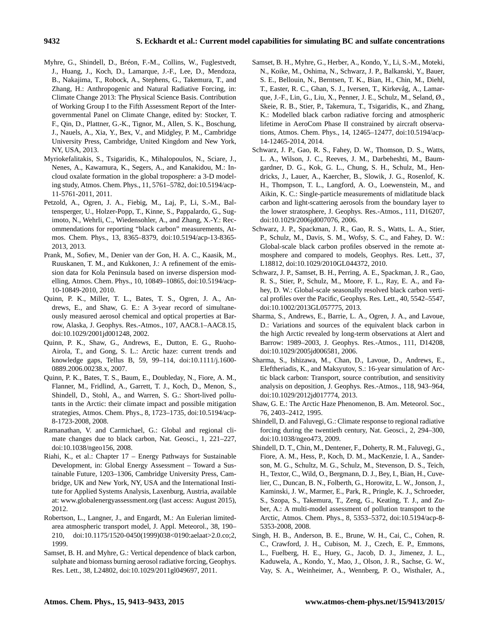- Myhre, G., Shindell, D., Bréon, F.-M., Collins, W., Fuglestvedt, J., Huang, J., Koch, D., Lamarque, J.-F., Lee, D., Mendoza, B., Nakajima, T., Robock, A., Stephens, G., Takemura, T., and Zhang, H.: Anthropogenic and Natural Radiative Forcing, in: Climate Change 2013: The Physical Science Basis. Contribution of Working Group I to the Fifth Assessment Report of the Intergovernmental Panel on Climate Change, edited by: Stocker, T. F., Qin, D., Plattner, G.-K., Tignor, M., Allen, S. K., Boschung, J., Nauels, A., Xia, Y., Bex, V., and Midgley, P. M., Cambridge University Press, Cambridge, United Kingdom and New York, NY, USA, 2013.
- Myriokefalitakis, S., Tsigaridis, K., Mihalopoulos, N., Sciare, J., Nenes, A., Kawamura, K., Segers, A., and Kanakidou, M.: Incloud oxalate formation in the global troposphere: a 3-D modeling study, Atmos. Chem. Phys., 11, 5761–5782, doi[:10.5194/acp-](http://dx.doi.org/10.5194/acp-11-5761-2011)[11-5761-2011,](http://dx.doi.org/10.5194/acp-11-5761-2011) 2011.
- Petzold, A., Ogren, J. A., Fiebig, M., Laj, P., Li, S.-M., Baltensperger, U., Holzer-Popp, T., Kinne, S., Pappalardo, G., Sugimoto, N., Wehrli, C., Wiedensohler, A., and Zhang, X.-Y.: Recommendations for reporting "black carbon" measurements, Atmos. Chem. Phys., 13, 8365–8379, doi[:10.5194/acp-13-8365-](http://dx.doi.org/10.5194/acp-13-8365-2013) [2013,](http://dx.doi.org/10.5194/acp-13-8365-2013) 2013.
- Prank, M., Sofiev, M., Denier van der Gon, H. A. C., Kaasik, M., Ruuskanen, T. M., and Kukkonen, J.: A refinement of the emission data for Kola Peninsula based on inverse dispersion modelling, Atmos. Chem. Phys., 10, 10849–10865, doi[:10.5194/acp-](http://dx.doi.org/10.5194/acp-10-10849-2010)[10-10849-2010,](http://dx.doi.org/10.5194/acp-10-10849-2010) 2010.
- Quinn, P. K., Miller, T. L., Bates, T. S., Ogren, J. A., Andrews, E., and Shaw, G. E.: A 3-year record of simultaneously measured aerosol chemical and optical properties at Barrow, Alaska, J. Geophys. Res.-Atmos., 107, AAC8.1–AAC8.15, doi[:10.1029/2001jd001248,](http://dx.doi.org/10.1029/2001jd001248) 2002.
- Quinn, P. K., Shaw, G., Andrews, E., Dutton, E. G., Ruoho-Airola, T., and Gong, S. L.: Arctic haze: current trends and knowledge gaps, Tellus B, 59, 99–114, doi[:10.1111/j.1600-](http://dx.doi.org/10.1111/j.1600-0889.2006.00238.x) [0889.2006.00238.x,](http://dx.doi.org/10.1111/j.1600-0889.2006.00238.x) 2007.
- Quinn, P. K., Bates, T. S., Baum, E., Doubleday, N., Fiore, A. M., Flanner, M., Fridlind, A., Garrett, T. J., Koch, D., Menon, S., Shindell, D., Stohl, A., and Warren, S. G.: Short-lived pollutants in the Arctic: their climate impact and possible mitigation strategies, Atmos. Chem. Phys., 8, 1723–1735, doi[:10.5194/acp-](http://dx.doi.org/10.5194/acp-8-1723-2008)[8-1723-2008,](http://dx.doi.org/10.5194/acp-8-1723-2008) 2008.
- Ramanathan, V. and Carmichael, G.: Global and regional climate changes due to black carbon, Nat. Geosci., 1, 221–227, doi[:10.1038/ngeo156,](http://dx.doi.org/10.1038/ngeo156) 2008.
- Riahi, K., et al.: Chapter 17 Energy Pathways for Sustainable Development, in: Global Energy Assessment – Toward a Sustainable Future, 1203–1306, Cambridge University Press, Cambridge, UK and New York, NY, USA and the International Institute for Applied Systems Analysis, Laxenburg, Austria, available at: <www.globalenergyassessment.org> (last access: August 2015), 2012.
- Robertson, L., Langner, J., and Engardt, M.: An Eulerian limitedarea atmospheric transport model, J. Appl. Meteorol., 38, 190– 210, doi[:10.1175/1520-0450\(1999\)038<0190:aelaat>2.0.co;2,](http://dx.doi.org/10.1175/1520-0450(1999)038<0190:aelaat>2.0.co;2) 1999.
- Samset, B. H. and Myhre, G.: Vertical dependence of black carbon, sulphate and biomass burning aerosol radiative forcing, Geophys. Res. Lett., 38, L24802, doi[:10.1029/2011gl049697,](http://dx.doi.org/10.1029/2011gl049697) 2011.
- Samset, B. H., Myhre, G., Herber, A., Kondo, Y., Li, S.-M., Moteki, N., Koike, M., Oshima, N., Schwarz, J. P., Balkanski, Y., Bauer, S. E., Bellouin, N., Berntsen, T. K., Bian, H., Chin, M., Diehl, T., Easter, R. C., Ghan, S. J., Iversen, T., Kirkevåg, A., Lamarque, J.-F., Lin, G., Liu, X., Penner, J. E., Schulz, M., Seland, Ø., Skeie, R. B., Stier, P., Takemura, T., Tsigaridis, K., and Zhang, K.: Modelled black carbon radiative forcing and atmospheric lifetime in AeroCom Phase II constrained by aircraft observations, Atmos. Chem. Phys., 14, 12465–12477, doi[:10.5194/acp-](http://dx.doi.org/10.5194/acp-14-12465-2014)[14-12465-2014,](http://dx.doi.org/10.5194/acp-14-12465-2014) 2014.
- Schwarz, J. P., Gao, R. S., Fahey, D. W., Thomson, D. S., Watts, L. A., Wilson, J. C., Reeves, J. M., Darbeheshti, M., Baumgardner, D. G., Kok, G. L., Chung, S. H., Schulz, M., Hendricks, J., Lauer, A., Kaercher, B., Slowik, J. G., Rosenlof, K. H., Thompson, T. L., Langford, A. O., Loewenstein, M., and Aikin, K. C.: Single-particle measurements of midlatitude black carbon and light-scattering aerosols from the boundary layer to the lower stratosphere, J. Geophys. Res.-Atmos., 111, D16207, doi[:10.1029/2006jd007076,](http://dx.doi.org/10.1029/2006jd007076) 2006.
- Schwarz, J. P., Spackman, J. R., Gao, R. S., Watts, L. A., Stier, P., Schulz, M., Davis, S. M., Wofsy, S. C., and Fahey, D. W.: Global-scale black carbon profiles observed in the remote atmosphere and compared to models, Geophys. Res. Lett., 37, L18812, doi[:10.1029/2010GL044372,](http://dx.doi.org/10.1029/2010GL044372) 2010.
- Schwarz, J. P., Samset, B. H., Perring, A. E., Spackman, J. R., Gao, R. S., Stier, P., Schulz, M., Moore, F. L., Ray, E. A., and Fahey, D. W.: Global-scale seasonally resolved black carbon vertical profiles over the Pacific, Geophys. Res. Lett., 40, 5542–5547, doi[:10.1002/2013GL057775,](http://dx.doi.org/10.1002/2013GL057775) 2013.
- Sharma, S., Andrews, E., Barrie, L. A., Ogren, J. A., and Lavoue, D.: Variations and sources of the equivalent black carbon in the high Arctic revealed by long-term observations at Alert and Barrow: 1989–2003, J. Geophys. Res.-Atmos., 111, D14208, doi[:10.1029/2005jd006581,](http://dx.doi.org/10.1029/2005jd006581) 2006.
- Sharma, S., Ishizawa, M., Chan, D., Lavoue, D., Andrews, E., Eleftheriadis, K., and Maksyutov, S.: 16-year simulation of Arctic black carbon: Transport, source contribution, and sensitivity analysis on deposition, J. Geophys. Res.-Atmos., 118, 943–964, doi[:10.1029/2012jd017774,](http://dx.doi.org/10.1029/2012jd017774) 2013.
- Shaw, G. E.: The Arctic Haze Phenomenon, B. Am. Meteorol. Soc., 76, 2403–2412, 1995.
- Shindell, D. and Faluvegi, G.: Climate response to regional radiative forcing during the twentieth century, Nat. Geosci., 2, 294–300, doi[:10.1038/ngeo473,](http://dx.doi.org/10.1038/ngeo473) 2009.
- Shindell, D. T., Chin, M., Dentener, F., Doherty, R. M., Faluvegi, G., Fiore, A. M., Hess, P., Koch, D. M., MacKenzie, I. A., Sanderson, M. G., Schultz, M. G., Schulz, M., Stevenson, D. S., Teich, H., Textor, C., Wild, O., Bergmann, D. J., Bey, I., Bian, H., Cuvelier, C., Duncan, B. N., Folberth, G., Horowitz, L. W., Jonson, J., Kaminski, J. W., Marmer, E., Park, R., Pringle, K. J., Schroeder, S., Szopa, S., Takemura, T., Zeng, G., Keating, T. J., and Zuber, A.: A multi-model assessment of pollution transport to the Arctic, Atmos. Chem. Phys., 8, 5353–5372, doi[:10.5194/acp-8-](http://dx.doi.org/10.5194/acp-8-5353-2008) [5353-2008,](http://dx.doi.org/10.5194/acp-8-5353-2008) 2008.
- Singh, H. B., Anderson, B. E., Brune, W. H., Cai, C., Cohen, R. C., Crawford, J. H., Cubison, M. J., Czech, E. P., Emmons, L., Fuelberg, H. E., Huey, G., Jacob, D. J., Jimenez, J. L., Kaduwela, A., Kondo, Y., Mao, J., Olson, J. R., Sachse, G. W., Vay, S. A., Weinheimer, A., Wennberg, P. O., Wisthaler, A.,